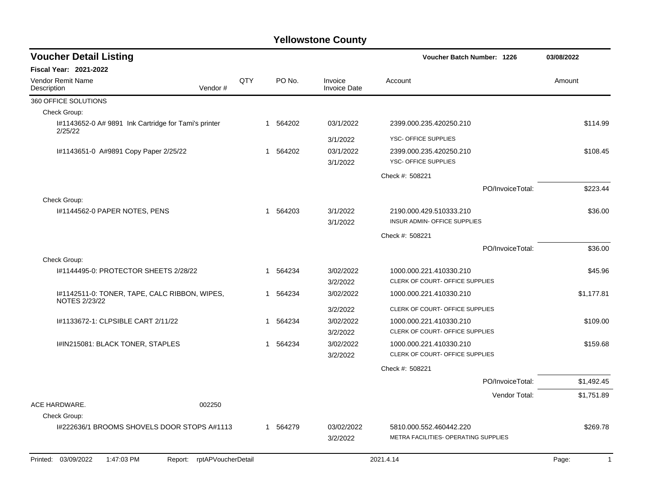| <b>Voucher Detail Listing</b>                                   |         |     |                       |                                | <b>Voucher Batch Number: 1226</b>                               | 03/08/2022 |
|-----------------------------------------------------------------|---------|-----|-----------------------|--------------------------------|-----------------------------------------------------------------|------------|
| <b>Fiscal Year: 2021-2022</b>                                   |         |     |                       |                                |                                                                 |            |
| <b>Vendor Remit Name</b><br>Description                         | Vendor# | QTY | PO No.                | Invoice<br><b>Invoice Date</b> | Account                                                         | Amount     |
| 360 OFFICE SOLUTIONS                                            |         |     |                       |                                |                                                                 |            |
| Check Group:                                                    |         |     |                       |                                |                                                                 |            |
| I#1143652-0 A# 9891 Ink Cartridge for Tami's printer<br>2/25/22 |         |     | 564202<br>$\mathbf 1$ | 03/1/2022                      | 2399.000.235.420250.210                                         | \$114.99   |
|                                                                 |         |     |                       | 3/1/2022                       | YSC- OFFICE SUPPLIES                                            |            |
| I#1143651-0 A#9891 Copy Paper 2/25/22                           |         |     | 1 564202              | 03/1/2022<br>3/1/2022          | 2399.000.235.420250.210<br><b>YSC- OFFICE SUPPLIES</b>          | \$108.45   |
|                                                                 |         |     |                       |                                | Check #: 508221                                                 |            |
|                                                                 |         |     |                       |                                | PO/InvoiceTotal:                                                | \$223.44   |
| Check Group:                                                    |         |     |                       |                                |                                                                 |            |
| #1144562-0 PAPER NOTES, PENS                                    |         |     | 564203<br>1           | 3/1/2022                       | 2190.000.429.510333.210                                         | \$36.00    |
|                                                                 |         |     |                       | 3/1/2022                       | INSUR ADMIN- OFFICE SUPPLIES                                    |            |
|                                                                 |         |     |                       |                                | Check #: 508221                                                 |            |
|                                                                 |         |     |                       |                                | PO/InvoiceTotal:                                                | \$36.00    |
| Check Group:                                                    |         |     |                       |                                |                                                                 |            |
| #1144495-0: PROTECTOR SHEETS 2/28/22                            |         |     | 564234<br>1           | 3/02/2022                      | 1000.000.221.410330.210                                         | \$45.96    |
|                                                                 |         |     |                       | 3/2/2022                       | CLERK OF COURT- OFFICE SUPPLIES                                 |            |
| I#1142511-0: TONER, TAPE, CALC RIBBON, WIPES,<br>NOTES 2/23/22  |         |     | 564234<br>1           | 3/02/2022                      | 1000.000.221.410330.210                                         | \$1,177.81 |
|                                                                 |         |     |                       | 3/2/2022                       | CLERK OF COURT- OFFICE SUPPLIES                                 |            |
| I#1133672-1: CLPSIBLE CART 2/11/22                              |         |     | 564234<br>1           | 3/02/2022<br>3/2/2022          | 1000.000.221.410330.210<br>CLERK OF COURT- OFFICE SUPPLIES      | \$109.00   |
| I#IN215081: BLACK TONER, STAPLES                                |         |     | 564234<br>1           | 3/02/2022                      | 1000.000.221.410330.210                                         | \$159.68   |
|                                                                 |         |     |                       | 3/2/2022                       | CLERK OF COURT- OFFICE SUPPLIES                                 |            |
|                                                                 |         |     |                       |                                | Check #: 508221                                                 |            |
|                                                                 |         |     |                       |                                | PO/InvoiceTotal:                                                | \$1,492.45 |
|                                                                 |         |     |                       |                                | Vendor Total:                                                   | \$1,751.89 |
| <b>ACE HARDWARE.</b>                                            | 002250  |     |                       |                                |                                                                 |            |
| Check Group:                                                    |         |     |                       |                                |                                                                 |            |
| 1#222636/1 BROOMS SHOVELS DOOR STOPS A#1113                     |         |     | 1 564279              | 03/02/2022<br>3/2/2022         | 5810.000.552.460442.220<br>METRA FACILITIES- OPERATING SUPPLIES | \$269.78   |

Printed: 03/09/2022 1:47:03 PM Report: rptAPVoucherDetail 2021.4.14 2021.4.14 2021.4.14 Page: 1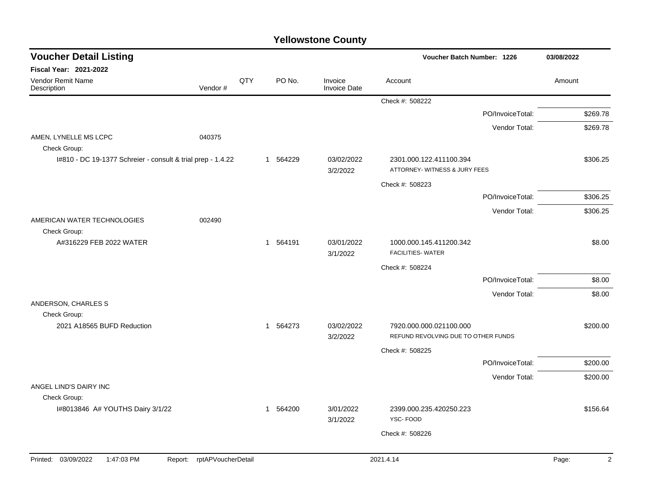| <b>Voucher Detail Listing</b>                               |                            |     |          |                                | Voucher Batch Number: 1226                                     |                  | 03/08/2022              |
|-------------------------------------------------------------|----------------------------|-----|----------|--------------------------------|----------------------------------------------------------------|------------------|-------------------------|
| <b>Fiscal Year: 2021-2022</b>                               |                            |     |          |                                |                                                                |                  |                         |
| Vendor Remit Name<br>Description                            | Vendor#                    | QTY | PO No.   | Invoice<br><b>Invoice Date</b> | Account                                                        |                  | Amount                  |
|                                                             |                            |     |          |                                | Check #: 508222                                                |                  |                         |
|                                                             |                            |     |          |                                |                                                                | PO/InvoiceTotal: | \$269.78                |
|                                                             |                            |     |          |                                |                                                                | Vendor Total:    | \$269.78                |
| AMEN, LYNELLE MS LCPC<br>Check Group:                       | 040375                     |     |          |                                |                                                                |                  |                         |
| I#810 - DC 19-1377 Schreier - consult & trial prep - 1.4.22 |                            |     | 1 564229 | 03/02/2022<br>3/2/2022         | 2301.000.122.411100.394<br>ATTORNEY- WITNESS & JURY FEES       |                  | \$306.25                |
|                                                             |                            |     |          |                                | Check #: 508223                                                |                  |                         |
|                                                             |                            |     |          |                                |                                                                | PO/InvoiceTotal: | \$306.25                |
|                                                             |                            |     |          |                                |                                                                | Vendor Total:    | \$306.25                |
| AMERICAN WATER TECHNOLOGIES                                 | 002490                     |     |          |                                |                                                                |                  |                         |
| Check Group:<br>A#316229 FEB 2022 WATER                     |                            |     | 1 564191 | 03/01/2022<br>3/1/2022         | 1000.000.145.411200.342<br><b>FACILITIES- WATER</b>            |                  | \$8.00                  |
|                                                             |                            |     |          |                                | Check #: 508224                                                |                  |                         |
|                                                             |                            |     |          |                                |                                                                | PO/InvoiceTotal: | \$8.00                  |
|                                                             |                            |     |          |                                |                                                                | Vendor Total:    | \$8.00                  |
| ANDERSON, CHARLES S<br>Check Group:                         |                            |     |          |                                |                                                                |                  |                         |
| 2021 A18565 BUFD Reduction                                  |                            |     | 1 564273 | 03/02/2022<br>3/2/2022         | 7920.000.000.021100.000<br>REFUND REVOLVING DUE TO OTHER FUNDS |                  | \$200.00                |
|                                                             |                            |     |          |                                | Check #: 508225                                                |                  |                         |
|                                                             |                            |     |          |                                |                                                                | PO/InvoiceTotal: | \$200.00                |
|                                                             |                            |     |          |                                |                                                                | Vendor Total:    | \$200.00                |
| ANGEL LIND'S DAIRY INC                                      |                            |     |          |                                |                                                                |                  |                         |
| Check Group:                                                |                            |     |          |                                |                                                                |                  |                         |
| I#8013846 A# YOUTHS Dairy 3/1/22                            |                            |     | 1 564200 | 3/01/2022<br>3/1/2022          | 2399.000.235.420250.223<br>YSC-FOOD                            |                  | \$156.64                |
|                                                             |                            |     |          |                                | Check #: 508226                                                |                  |                         |
|                                                             |                            |     |          |                                |                                                                |                  |                         |
| Printed: 03/09/2022<br>1:47:03 PM                           | Report: rptAPVoucherDetail |     |          |                                | 2021.4.14                                                      |                  | $\overline{2}$<br>Page: |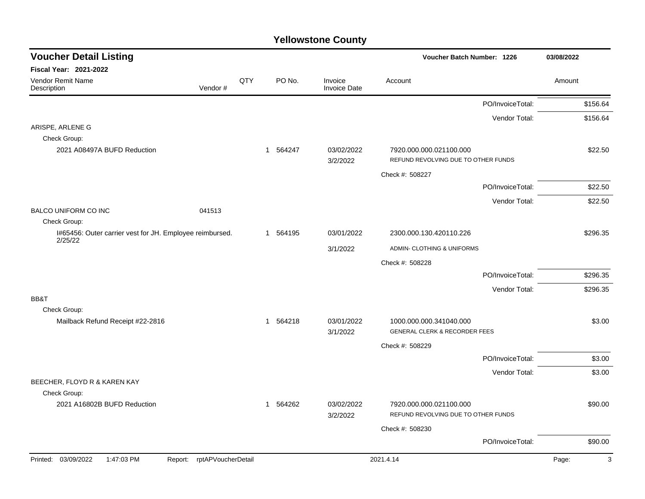| <b>Voucher Detail Listing</b>                                       |     |          |                                | Voucher Batch Number: 1226                                          | 03/08/2022 |
|---------------------------------------------------------------------|-----|----------|--------------------------------|---------------------------------------------------------------------|------------|
| <b>Fiscal Year: 2021-2022</b>                                       |     |          |                                |                                                                     |            |
| Vendor Remit Name<br>Description<br>Vendor#                         | QTY | PO No.   | Invoice<br><b>Invoice Date</b> | Account                                                             | Amount     |
|                                                                     |     |          |                                | PO/InvoiceTotal:                                                    | \$156.64   |
|                                                                     |     |          |                                | Vendor Total:                                                       | \$156.64   |
| ARISPE, ARLENE G                                                    |     |          |                                |                                                                     |            |
| Check Group:                                                        |     |          |                                |                                                                     |            |
| 2021 A08497A BUFD Reduction                                         |     | 1 564247 | 03/02/2022<br>3/2/2022         | 7920.000.000.021100.000<br>REFUND REVOLVING DUE TO OTHER FUNDS      | \$22.50    |
|                                                                     |     |          |                                | Check #: 508227                                                     |            |
|                                                                     |     |          |                                | PO/InvoiceTotal:                                                    | \$22.50    |
|                                                                     |     |          |                                | Vendor Total:                                                       | \$22.50    |
| <b>BALCO UNIFORM CO INC</b><br>041513                               |     |          |                                |                                                                     |            |
| Check Group:                                                        |     |          |                                |                                                                     |            |
| I#65456: Outer carrier vest for JH. Employee reimbursed.<br>2/25/22 |     | 1 564195 | 03/01/2022                     | 2300.000.130.420110.226                                             | \$296.35   |
|                                                                     |     |          | 3/1/2022                       | ADMIN- CLOTHING & UNIFORMS                                          |            |
|                                                                     |     |          |                                | Check #: 508228                                                     |            |
|                                                                     |     |          |                                | PO/InvoiceTotal:                                                    | \$296.35   |
|                                                                     |     |          |                                | Vendor Total:                                                       | \$296.35   |
| BB&T                                                                |     |          |                                |                                                                     |            |
| Check Group:                                                        |     |          |                                |                                                                     |            |
| Mailback Refund Receipt #22-2816                                    |     | 1 564218 | 03/01/2022<br>3/1/2022         | 1000.000.000.341040.000<br><b>GENERAL CLERK &amp; RECORDER FEES</b> | \$3.00     |
|                                                                     |     |          |                                | Check #: 508229                                                     |            |
|                                                                     |     |          |                                | PO/InvoiceTotal:                                                    | \$3.00     |
|                                                                     |     |          |                                | Vendor Total:                                                       | \$3.00     |
| BEECHER, FLOYD R & KAREN KAY                                        |     |          |                                |                                                                     |            |
| Check Group:                                                        |     |          |                                |                                                                     |            |
| 2021 A16802B BUFD Reduction                                         |     | 1 564262 | 03/02/2022<br>3/2/2022         | 7920.000.000.021100.000<br>REFUND REVOLVING DUE TO OTHER FUNDS      | \$90.00    |
|                                                                     |     |          |                                | Check #: 508230                                                     |            |
|                                                                     |     |          |                                | PO/InvoiceTotal:                                                    | \$90.00    |
| Printed: 03/09/2022<br>1:47:03 PM<br>rptAPVoucherDetail<br>Report:  |     |          |                                | 2021.4.14                                                           | Page:<br>3 |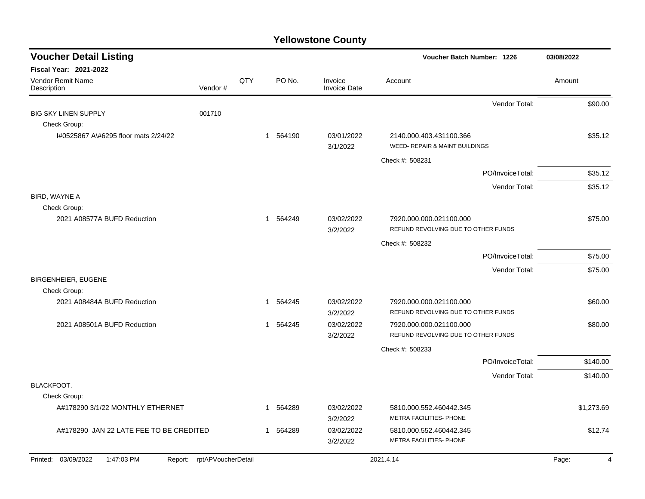| <b>Voucher Detail Listing</b>                                                |     |          |                                | Voucher Batch Number: 1226                                     | 03/08/2022 |
|------------------------------------------------------------------------------|-----|----------|--------------------------------|----------------------------------------------------------------|------------|
| <b>Fiscal Year: 2021-2022</b><br>Vendor Remit Name<br>Vendor#<br>Description | QTY | PO No.   | Invoice<br><b>Invoice Date</b> | Account                                                        | Amount     |
|                                                                              |     |          |                                | Vendor Total:                                                  | \$90.00    |
| 001710<br><b>BIG SKY LINEN SUPPLY</b><br>Check Group:                        |     |          |                                |                                                                |            |
| I#0525867 A\#6295 floor mats 2/24/22                                         |     | 1 564190 | 03/01/2022<br>3/1/2022         | 2140.000.403.431100.366<br>WEED- REPAIR & MAINT BUILDINGS      | \$35.12    |
|                                                                              |     |          |                                | Check #: 508231                                                |            |
|                                                                              |     |          |                                | PO/InvoiceTotal:                                               | \$35.12    |
|                                                                              |     |          |                                | Vendor Total:                                                  | \$35.12    |
| BIRD, WAYNE A<br>Check Group:                                                |     |          |                                |                                                                |            |
| 2021 A08577A BUFD Reduction                                                  |     | 1 564249 | 03/02/2022<br>3/2/2022         | 7920.000.000.021100.000<br>REFUND REVOLVING DUE TO OTHER FUNDS | \$75.00    |
|                                                                              |     |          |                                | Check #: 508232                                                |            |
|                                                                              |     |          |                                | PO/InvoiceTotal:                                               | \$75.00    |
|                                                                              |     |          |                                | Vendor Total:                                                  | \$75.00    |
| <b>BIRGENHEIER, EUGENE</b><br>Check Group:                                   |     |          |                                |                                                                |            |
| 2021 A08484A BUFD Reduction                                                  | 1   | 564245   | 03/02/2022<br>3/2/2022         | 7920.000.000.021100.000<br>REFUND REVOLVING DUE TO OTHER FUNDS | \$60.00    |
| 2021 A08501A BUFD Reduction                                                  | 1   | 564245   | 03/02/2022<br>3/2/2022         | 7920.000.000.021100.000<br>REFUND REVOLVING DUE TO OTHER FUNDS | \$80.00    |
|                                                                              |     |          |                                | Check #: 508233                                                |            |
|                                                                              |     |          |                                | PO/InvoiceTotal:                                               | \$140.00   |
|                                                                              |     |          |                                | Vendor Total:                                                  | \$140.00   |
| BLACKFOOT.<br>Check Group:                                                   |     |          |                                |                                                                |            |
| A#178290 3/1/22 MONTHLY ETHERNET                                             |     | 564289   | 03/02/2022<br>3/2/2022         | 5810.000.552.460442.345<br>METRA FACILITIES- PHONE             | \$1,273.69 |
| A#178290 JAN 22 LATE FEE TO BE CREDITED                                      | -1  | 564289   | 03/02/2022<br>3/2/2022         | 5810.000.552.460442.345<br>METRA FACILITIES- PHONE             | \$12.74    |
| Printed: 03/09/2022<br>Report: rptAPVoucherDetail<br>1:47:03 PM              |     |          |                                | 2021.4.14                                                      | Page:<br>4 |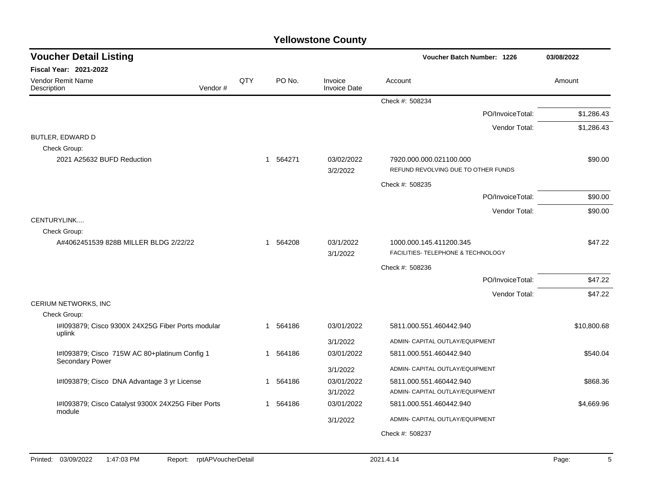| <b>Voucher Detail Listing</b>                                |     |             |                                | Voucher Batch Number: 1226                                     | 03/08/2022  |
|--------------------------------------------------------------|-----|-------------|--------------------------------|----------------------------------------------------------------|-------------|
| <b>Fiscal Year: 2021-2022</b>                                |     |             |                                |                                                                |             |
| <b>Vendor Remit Name</b><br>Vendor#<br>Description           | QTY | PO No.      | Invoice<br><b>Invoice Date</b> | Account                                                        | Amount      |
|                                                              |     |             |                                | Check #: 508234                                                |             |
|                                                              |     |             |                                | PO/InvoiceTotal:                                               | \$1,286.43  |
|                                                              |     |             |                                | Vendor Total:                                                  | \$1,286.43  |
| BUTLER, EDWARD D                                             |     |             |                                |                                                                |             |
| Check Group:                                                 |     |             |                                |                                                                |             |
| 2021 A25632 BUFD Reduction                                   |     | 564271<br>1 | 03/02/2022<br>3/2/2022         | 7920.000.000.021100.000<br>REFUND REVOLVING DUE TO OTHER FUNDS | \$90.00     |
|                                                              |     |             |                                | Check #: 508235                                                |             |
|                                                              |     |             |                                | PO/InvoiceTotal:                                               | \$90.00     |
|                                                              |     |             |                                | Vendor Total:                                                  | \$90.00     |
| CENTURYLINK                                                  |     |             |                                |                                                                |             |
| Check Group:                                                 |     |             |                                |                                                                |             |
| A#4062451539 828B MILLER BLDG 2/22/22                        |     | 1 564208    | 03/1/2022<br>3/1/2022          | 1000.000.145.411200.345<br>FACILITIES- TELEPHONE & TECHNOLOGY  | \$47.22     |
|                                                              |     |             |                                | Check #: 508236                                                |             |
|                                                              |     |             |                                | PO/InvoiceTotal:                                               | \$47.22     |
|                                                              |     |             |                                | Vendor Total:                                                  | \$47.22     |
| CERIUM NETWORKS, INC                                         |     |             |                                |                                                                |             |
| Check Group:                                                 |     |             |                                |                                                                |             |
| I#1093879; Cisco 9300X 24X25G Fiber Ports modular<br>uplink  |     | 1 564186    | 03/01/2022                     | 5811.000.551.460442.940                                        | \$10,800.68 |
|                                                              |     |             | 3/1/2022                       | ADMIN- CAPITAL OUTLAY/EQUIPMENT                                |             |
| I#1093879; Cisco 715W AC 80+platinum Config 1                |     | 564186<br>1 | 03/01/2022                     | 5811.000.551.460442.940                                        | \$540.04    |
| Secondary Power                                              |     |             | 3/1/2022                       | ADMIN- CAPITAL OUTLAY/EQUIPMENT                                |             |
| I#1093879; Cisco DNA Advantage 3 yr License                  |     | 564186<br>1 | 03/01/2022                     | 5811.000.551.460442.940                                        | \$868.36    |
|                                                              |     |             | 3/1/2022                       | ADMIN- CAPITAL OUTLAY/EQUIPMENT                                |             |
| I#1093879; Cisco Catalyst 9300X 24X25G Fiber Ports<br>module |     | 1 564186    | 03/01/2022                     | 5811.000.551.460442.940                                        | \$4,669.96  |
|                                                              |     |             | 3/1/2022                       | ADMIN- CAPITAL OUTLAY/EQUIPMENT                                |             |
|                                                              |     |             |                                | Check #: 508237                                                |             |
|                                                              |     |             |                                |                                                                |             |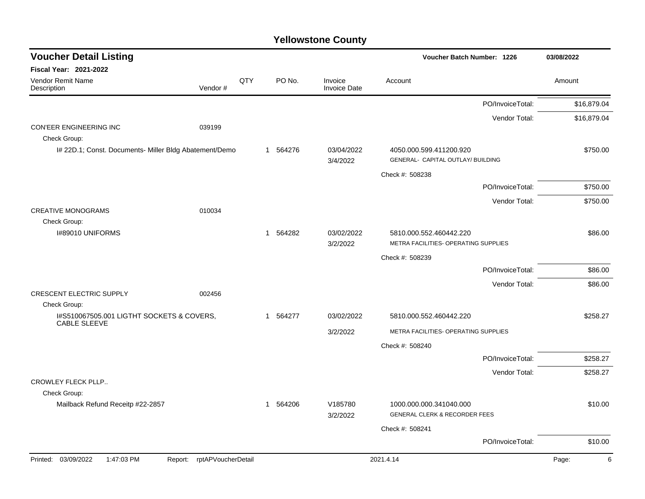| <b>Voucher Detail Listing</b>                                    |                            |     |          |                                | Voucher Batch Number: 1226                                          |                  | 03/08/2022  |
|------------------------------------------------------------------|----------------------------|-----|----------|--------------------------------|---------------------------------------------------------------------|------------------|-------------|
| <b>Fiscal Year: 2021-2022</b>                                    |                            |     |          |                                |                                                                     |                  |             |
| Vendor Remit Name<br>Description                                 | Vendor#                    | QTY | PO No.   | Invoice<br><b>Invoice Date</b> | Account                                                             |                  | Amount      |
|                                                                  |                            |     |          |                                |                                                                     | PO/InvoiceTotal: | \$16,879.04 |
|                                                                  |                            |     |          |                                |                                                                     | Vendor Total:    | \$16,879.04 |
| CON'EER ENGINEERING INC<br>Check Group:                          | 039199                     |     |          |                                |                                                                     |                  |             |
| I# 22D.1; Const. Documents- Miller Bldg Abatement/Demo           |                            |     | 1 564276 | 03/04/2022                     | 4050.000.599.411200.920                                             |                  | \$750.00    |
|                                                                  |                            |     |          | 3/4/2022                       | GENERAL- CAPITAL OUTLAY/ BUILDING                                   |                  |             |
|                                                                  |                            |     |          |                                | Check #: 508238                                                     |                  |             |
|                                                                  |                            |     |          |                                |                                                                     | PO/InvoiceTotal: | \$750.00    |
| <b>CREATIVE MONOGRAMS</b>                                        | 010034                     |     |          |                                |                                                                     | Vendor Total:    | \$750.00    |
| Check Group:                                                     |                            |     |          |                                |                                                                     |                  |             |
| I#89010 UNIFORMS                                                 |                            |     | 1 564282 | 03/02/2022<br>3/2/2022         | 5810.000.552.460442.220<br>METRA FACILITIES- OPERATING SUPPLIES     |                  | \$86.00     |
|                                                                  |                            |     |          |                                | Check #: 508239                                                     |                  |             |
|                                                                  |                            |     |          |                                |                                                                     | PO/InvoiceTotal: | \$86.00     |
|                                                                  |                            |     |          |                                |                                                                     | Vendor Total:    | \$86.00     |
| <b>CRESCENT ELECTRIC SUPPLY</b>                                  | 002456                     |     |          |                                |                                                                     |                  |             |
| Check Group:                                                     |                            |     |          |                                |                                                                     |                  |             |
| I#S510067505.001 LIGTHT SOCKETS & COVERS,<br><b>CABLE SLEEVE</b> |                            |     | 1 564277 | 03/02/2022                     | 5810.000.552.460442.220                                             |                  | \$258.27    |
|                                                                  |                            |     |          | 3/2/2022                       | METRA FACILITIES- OPERATING SUPPLIES                                |                  |             |
|                                                                  |                            |     |          |                                | Check #: 508240                                                     |                  |             |
|                                                                  |                            |     |          |                                |                                                                     | PO/InvoiceTotal: | \$258.27    |
|                                                                  |                            |     |          |                                |                                                                     | Vendor Total:    | \$258.27    |
| CROWLEY FLECK PLLP                                               |                            |     |          |                                |                                                                     |                  |             |
| Check Group:                                                     |                            |     |          |                                |                                                                     |                  |             |
| Mailback Refund Receitp #22-2857                                 |                            |     | 1 564206 | V185780<br>3/2/2022            | 1000.000.000.341040.000<br><b>GENERAL CLERK &amp; RECORDER FEES</b> |                  | \$10.00     |
|                                                                  |                            |     |          |                                | Check #: 508241                                                     |                  |             |
|                                                                  |                            |     |          |                                |                                                                     | PO/InvoiceTotal: | \$10.00     |
| Printed: 03/09/2022<br>1:47:03 PM                                | Report: rptAPVoucherDetail |     |          |                                | 2021.4.14                                                           |                  | Page:<br>6  |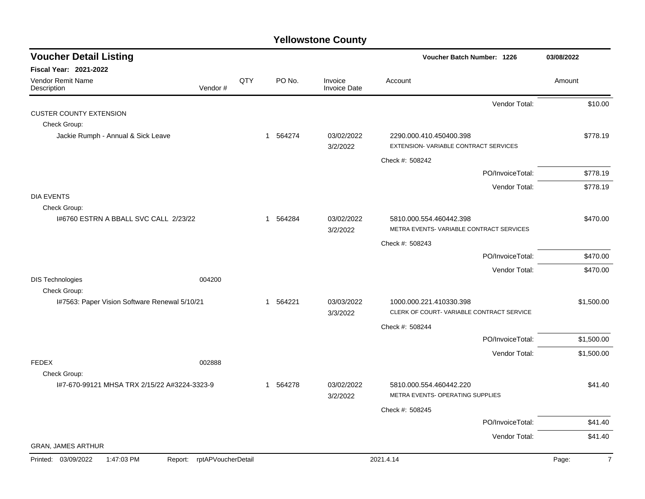| <b>Voucher Detail Listing</b>                 |                    |     |          |                                | <b>Voucher Batch Number: 1226</b>                               | 03/08/2022              |
|-----------------------------------------------|--------------------|-----|----------|--------------------------------|-----------------------------------------------------------------|-------------------------|
| <b>Fiscal Year: 2021-2022</b>                 |                    |     |          |                                |                                                                 |                         |
| Vendor Remit Name<br>Description              | Vendor#            | QTY | PO No.   | Invoice<br><b>Invoice Date</b> | Account                                                         | Amount                  |
|                                               |                    |     |          |                                | Vendor Total:                                                   | \$10.00                 |
| <b>CUSTER COUNTY EXTENSION</b>                |                    |     |          |                                |                                                                 |                         |
| Check Group:                                  |                    |     |          |                                |                                                                 |                         |
| Jackie Rumph - Annual & Sick Leave            |                    |     | 1 564274 | 03/02/2022<br>3/2/2022         | 2290.000.410.450400.398<br>EXTENSION-VARIABLE CONTRACT SERVICES | \$778.19                |
|                                               |                    |     |          |                                | Check #: 508242                                                 |                         |
|                                               |                    |     |          |                                | PO/InvoiceTotal:                                                | \$778.19                |
|                                               |                    |     |          |                                | Vendor Total:                                                   | \$778.19                |
| <b>DIA EVENTS</b><br>Check Group:             |                    |     |          |                                |                                                                 |                         |
| 1#6760 ESTRN A BBALL SVC CALL 2/23/22         |                    |     | 1 564284 | 03/02/2022                     | 5810.000.554.460442.398                                         | \$470.00                |
|                                               |                    |     |          | 3/2/2022                       | METRA EVENTS-VARIABLE CONTRACT SERVICES                         |                         |
|                                               |                    |     |          |                                | Check #: 508243                                                 |                         |
|                                               |                    |     |          |                                | PO/InvoiceTotal:                                                | \$470.00                |
|                                               |                    |     |          |                                | Vendor Total:                                                   | \$470.00                |
| <b>DIS Technologies</b><br>Check Group:       | 004200             |     |          |                                |                                                                 |                         |
| I#7563: Paper Vision Software Renewal 5/10/21 |                    |     | 1 564221 | 03/03/2022                     | 1000.000.221.410330.398                                         | \$1,500.00              |
|                                               |                    |     |          | 3/3/2022                       | CLERK OF COURT-VARIABLE CONTRACT SERVICE                        |                         |
|                                               |                    |     |          |                                | Check #: 508244                                                 |                         |
|                                               |                    |     |          |                                | PO/InvoiceTotal:                                                | \$1,500.00              |
|                                               |                    |     |          |                                | Vendor Total:                                                   | \$1,500.00              |
| <b>FEDEX</b>                                  | 002888             |     |          |                                |                                                                 |                         |
| Check Group:                                  |                    |     | 564278   |                                | 5810.000.554.460442.220                                         |                         |
| I#7-670-99121 MHSA TRX 2/15/22 A#3224-3323-9  |                    |     | 1        | 03/02/2022<br>3/2/2022         | METRA EVENTS- OPERATING SUPPLIES                                | \$41.40                 |
|                                               |                    |     |          |                                | Check #: 508245                                                 |                         |
|                                               |                    |     |          |                                | PO/InvoiceTotal:                                                | \$41.40                 |
|                                               |                    |     |          |                                | Vendor Total:                                                   | \$41.40                 |
| <b>GRAN, JAMES ARTHUR</b>                     |                    |     |          |                                |                                                                 |                         |
| Printed: 03/09/2022<br>1:47:03 PM<br>Report:  | rptAPVoucherDetail |     |          |                                | 2021.4.14                                                       | $\overline{7}$<br>Page: |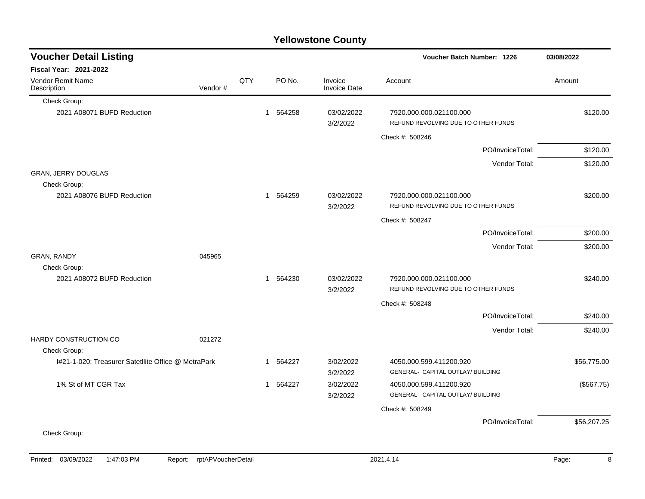|                                                     |         |     |                        | <b>Yellowstone County</b>      |                                                                |             |
|-----------------------------------------------------|---------|-----|------------------------|--------------------------------|----------------------------------------------------------------|-------------|
| <b>Voucher Detail Listing</b>                       |         |     |                        |                                | Voucher Batch Number: 1226                                     | 03/08/2022  |
| <b>Fiscal Year: 2021-2022</b>                       |         |     |                        |                                |                                                                |             |
| Vendor Remit Name<br>Description                    | Vendor# | QTY | PO No.                 | Invoice<br><b>Invoice Date</b> | Account                                                        | Amount      |
| Check Group:                                        |         |     |                        |                                |                                                                |             |
| 2021 A08071 BUFD Reduction                          |         |     | 564258<br>$\mathbf{1}$ | 03/02/2022<br>3/2/2022         | 7920.000.000.021100.000<br>REFUND REVOLVING DUE TO OTHER FUNDS | \$120.00    |
|                                                     |         |     |                        |                                | Check #: 508246                                                |             |
|                                                     |         |     |                        |                                | PO/InvoiceTotal:                                               | \$120.00    |
|                                                     |         |     |                        |                                | Vendor Total:                                                  | \$120.00    |
| GRAN, JERRY DOUGLAS<br>Check Group:                 |         |     |                        |                                |                                                                |             |
| 2021 A08076 BUFD Reduction                          |         |     | 564259<br>$\mathbf{1}$ | 03/02/2022<br>3/2/2022         | 7920.000.000.021100.000<br>REFUND REVOLVING DUE TO OTHER FUNDS | \$200.00    |
|                                                     |         |     |                        |                                | Check #: 508247                                                |             |
|                                                     |         |     |                        |                                | PO/InvoiceTotal:                                               | \$200.00    |
|                                                     |         |     |                        |                                | Vendor Total:                                                  | \$200.00    |
| GRAN, RANDY<br>Check Group:                         | 045965  |     |                        |                                |                                                                |             |
| 2021 A08072 BUFD Reduction                          |         |     | 564230<br>$\mathbf{1}$ | 03/02/2022<br>3/2/2022         | 7920.000.000.021100.000<br>REFUND REVOLVING DUE TO OTHER FUNDS | \$240.00    |
|                                                     |         |     |                        |                                | Check #: 508248                                                |             |
|                                                     |         |     |                        |                                | PO/InvoiceTotal:                                               | \$240.00    |
| HARDY CONSTRUCTION CO                               | 021272  |     |                        |                                | Vendor Total:                                                  | \$240.00    |
| Check Group:                                        |         |     |                        |                                |                                                                |             |
| I#21-1-020; Treasurer SatetIlite Office @ MetraPark |         |     | 564227<br>1            | 3/02/2022<br>3/2/2022          | 4050.000.599.411200.920<br>GENERAL- CAPITAL OUTLAY/ BUILDING   | \$56,775.00 |
| 1% St of MT CGR Tax                                 |         |     | 564227<br>$\mathbf{1}$ | 3/02/2022<br>3/2/2022          | 4050.000.599.411200.920<br>GENERAL- CAPITAL OUTLAY/ BUILDING   | (\$567.75)  |
|                                                     |         |     |                        |                                | Check #: 508249                                                |             |
|                                                     |         |     |                        |                                | PO/InvoiceTotal:                                               | \$56,207.25 |
| Check Group:                                        |         |     |                        |                                |                                                                |             |
|                                                     |         |     |                        |                                |                                                                |             |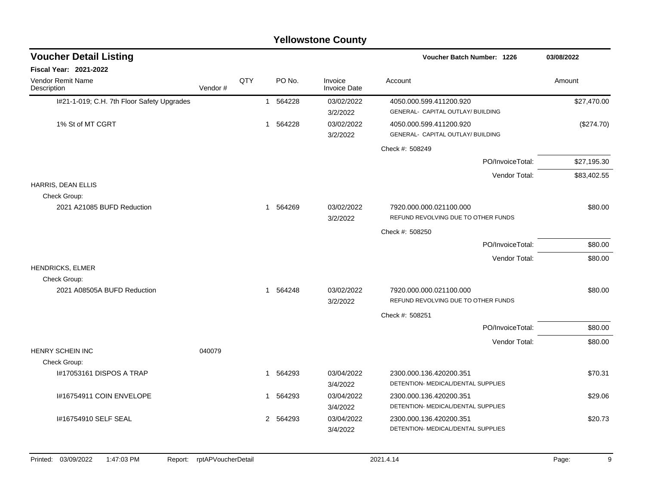|                                             |         |     |   |          | <b>Yellowstone County</b>      |                                                                |             |
|---------------------------------------------|---------|-----|---|----------|--------------------------------|----------------------------------------------------------------|-------------|
| <b>Voucher Detail Listing</b>               |         |     |   |          |                                | Voucher Batch Number: 1226                                     | 03/08/2022  |
| <b>Fiscal Year: 2021-2022</b>               |         |     |   |          |                                |                                                                |             |
| <b>Vendor Remit Name</b><br>Description     | Vendor# | QTY |   | PO No.   | Invoice<br><b>Invoice Date</b> | Account                                                        | Amount      |
| I#21-1-019; C.H. 7th Floor Safety Upgrades  |         |     |   | 1 564228 | 03/02/2022<br>3/2/2022         | 4050.000.599.411200.920<br>GENERAL- CAPITAL OUTLAY/ BUILDING   | \$27,470.00 |
| 1% St of MT CGRT                            |         |     |   | 1 564228 | 03/02/2022<br>3/2/2022         | 4050.000.599.411200.920<br>GENERAL- CAPITAL OUTLAY/ BUILDING   | (\$274.70)  |
|                                             |         |     |   |          |                                | Check #: 508249                                                |             |
|                                             |         |     |   |          |                                | PO/InvoiceTotal:                                               | \$27,195.30 |
|                                             |         |     |   |          |                                | Vendor Total:                                                  | \$83,402.55 |
| HARRIS, DEAN ELLIS<br>Check Group:          |         |     |   |          |                                |                                                                |             |
| 2021 A21085 BUFD Reduction                  |         |     |   | 1 564269 | 03/02/2022<br>3/2/2022         | 7920.000.000.021100.000<br>REFUND REVOLVING DUE TO OTHER FUNDS | \$80.00     |
|                                             |         |     |   |          |                                | Check #: 508250                                                |             |
|                                             |         |     |   |          |                                | PO/InvoiceTotal:                                               | \$80.00     |
|                                             |         |     |   |          |                                | Vendor Total:                                                  | \$80.00     |
| HENDRICKS, ELMER                            |         |     |   |          |                                |                                                                |             |
| Check Group:<br>2021 A08505A BUFD Reduction |         |     |   | 1 564248 | 03/02/2022<br>3/2/2022         | 7920.000.000.021100.000<br>REFUND REVOLVING DUE TO OTHER FUNDS | \$80.00     |
|                                             |         |     |   |          |                                | Check #: 508251                                                |             |
|                                             |         |     |   |          |                                | PO/InvoiceTotal:                                               | \$80.00     |
|                                             |         |     |   |          |                                | Vendor Total:                                                  | \$80.00     |
| <b>HENRY SCHEIN INC</b>                     | 040079  |     |   |          |                                |                                                                |             |
| Check Group:<br>I#17053161 DISPOS A TRAP    |         |     | 1 | 564293   | 03/04/2022                     | 2300.000.136.420200.351                                        | \$70.31     |
|                                             |         |     |   |          | 3/4/2022                       | DETENTION- MEDICAL/DENTAL SUPPLIES                             |             |
| I#16754911 COIN ENVELOPE                    |         |     | 1 | 564293   | 03/04/2022<br>3/4/2022         | 2300.000.136.420200.351<br>DETENTION- MEDICAL/DENTAL SUPPLIES  | \$29.06     |
| 1#16754910 SELF SEAL                        |         |     |   | 2 564293 | 03/04/2022<br>3/4/2022         | 2300.000.136.420200.351<br>DETENTION- MEDICAL/DENTAL SUPPLIES  | \$20.73     |
|                                             |         |     |   |          |                                |                                                                |             |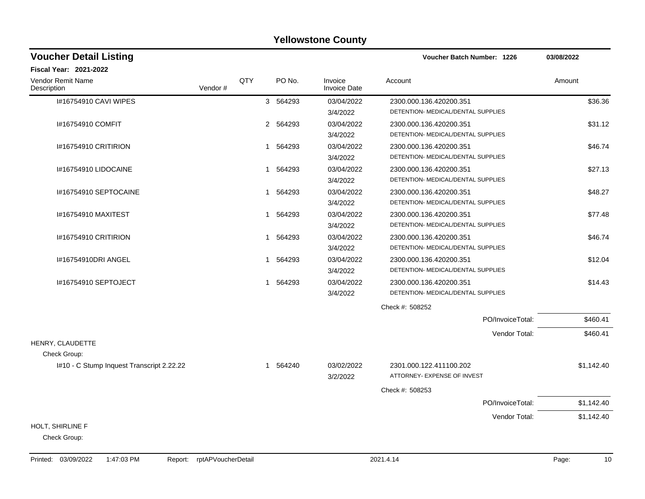| <b>Voucher Detail Listing</b>             |         |     |                        |                                | Voucher Batch Number: 1226                                    |                  | 03/08/2022 |            |
|-------------------------------------------|---------|-----|------------------------|--------------------------------|---------------------------------------------------------------|------------------|------------|------------|
| Fiscal Year: 2021-2022                    |         |     |                        |                                |                                                               |                  |            |            |
| Vendor Remit Name<br>Description          | Vendor# | QTY | PO No.                 | Invoice<br><b>Invoice Date</b> | Account                                                       |                  | Amount     |            |
| I#16754910 CAVI WIPES                     |         |     | 3 564293               | 03/04/2022<br>3/4/2022         | 2300.000.136.420200.351<br>DETENTION- MEDICAL/DENTAL SUPPLIES |                  |            | \$36.36    |
| 1#16754910 COMFIT                         |         |     | 2 564293               | 03/04/2022<br>3/4/2022         | 2300.000.136.420200.351<br>DETENTION- MEDICAL/DENTAL SUPPLIES |                  |            | \$31.12    |
| <b>I#16754910 CRITIRION</b>               |         |     | 1 564293               | 03/04/2022<br>3/4/2022         | 2300.000.136.420200.351<br>DETENTION- MEDICAL/DENTAL SUPPLIES |                  |            | \$46.74    |
| 1#16754910 LIDOCAINE                      |         |     | 564293<br>1            | 03/04/2022<br>3/4/2022         | 2300.000.136.420200.351<br>DETENTION- MEDICAL/DENTAL SUPPLIES |                  |            | \$27.13    |
| I#16754910 SEPTOCAINE                     |         |     | 564293<br>$\mathbf{1}$ | 03/04/2022<br>3/4/2022         | 2300.000.136.420200.351<br>DETENTION- MEDICAL/DENTAL SUPPLIES |                  |            | \$48.27    |
| I#16754910 MAXITEST                       |         |     | 1 564293               | 03/04/2022<br>3/4/2022         | 2300.000.136.420200.351<br>DETENTION- MEDICAL/DENTAL SUPPLIES |                  |            | \$77.48    |
| 1#16754910 CRITIRION                      |         |     | 564293<br>$\mathbf 1$  | 03/04/2022<br>3/4/2022         | 2300.000.136.420200.351<br>DETENTION- MEDICAL/DENTAL SUPPLIES |                  |            | \$46.74    |
| #16754910DRI ANGEL                        |         |     | 564293<br>1            | 03/04/2022<br>3/4/2022         | 2300.000.136.420200.351<br>DETENTION- MEDICAL/DENTAL SUPPLIES |                  |            | \$12.04    |
| 1#16754910 SEPTOJECT                      |         |     | 564293<br>1            | 03/04/2022<br>3/4/2022         | 2300.000.136.420200.351<br>DETENTION- MEDICAL/DENTAL SUPPLIES |                  |            | \$14.43    |
|                                           |         |     |                        |                                | Check #: 508252                                               |                  |            |            |
|                                           |         |     |                        |                                |                                                               | PO/InvoiceTotal: |            | \$460.41   |
| HENRY, CLAUDETTE                          |         |     |                        |                                |                                                               | Vendor Total:    |            | \$460.41   |
| Check Group:                              |         |     |                        |                                |                                                               |                  |            |            |
| I#10 - C Stump Inquest Transcript 2.22.22 |         |     | 1 564240               | 03/02/2022<br>3/2/2022         | 2301.000.122.411100.202<br>ATTORNEY- EXPENSE OF INVEST        |                  |            | \$1,142.40 |
|                                           |         |     |                        |                                | Check #: 508253                                               |                  |            |            |
|                                           |         |     |                        |                                |                                                               | PO/InvoiceTotal: |            | \$1,142.40 |
|                                           |         |     |                        |                                |                                                               | Vendor Total:    |            | \$1,142.40 |
| HOLT, SHIRLINE F                          |         |     |                        |                                |                                                               |                  |            |            |
| Check Group:                              |         |     |                        |                                |                                                               |                  |            |            |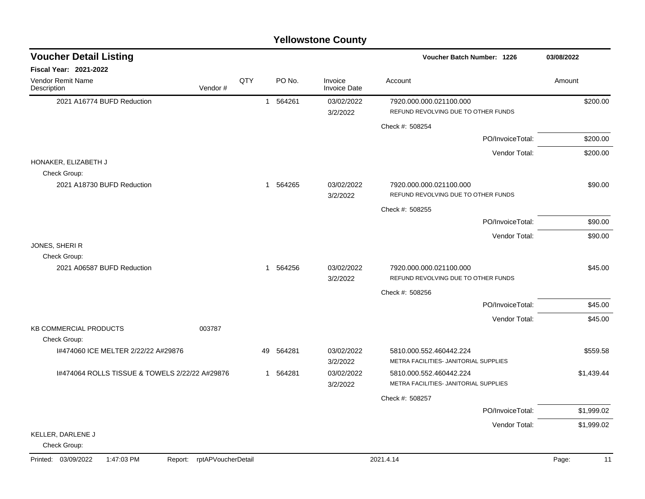| <b>Voucher Detail Listing</b>                  |                            |     |          |                                | Voucher Batch Number: 1226                                       | 03/08/2022  |
|------------------------------------------------|----------------------------|-----|----------|--------------------------------|------------------------------------------------------------------|-------------|
| Fiscal Year: 2021-2022                         |                            |     |          |                                |                                                                  |             |
| Vendor Remit Name<br>Description               | Vendor#                    | QTY | PO No.   | Invoice<br><b>Invoice Date</b> | Account                                                          | Amount      |
| 2021 A16774 BUFD Reduction                     |                            |     | 1 564261 | 03/02/2022<br>3/2/2022         | 7920.000.000.021100.000<br>REFUND REVOLVING DUE TO OTHER FUNDS   | \$200.00    |
|                                                |                            |     |          |                                | Check #: 508254                                                  |             |
|                                                |                            |     |          |                                | PO/InvoiceTotal:                                                 | \$200.00    |
|                                                |                            |     |          |                                | Vendor Total:                                                    | \$200.00    |
| HONAKER, ELIZABETH J<br>Check Group:           |                            |     |          |                                |                                                                  |             |
| 2021 A18730 BUFD Reduction                     |                            |     | 1 564265 | 03/02/2022<br>3/2/2022         | 7920.000.000.021100.000<br>REFUND REVOLVING DUE TO OTHER FUNDS   | \$90.00     |
|                                                |                            |     |          |                                | Check #: 508255                                                  |             |
|                                                |                            |     |          |                                | PO/InvoiceTotal:                                                 | \$90.00     |
|                                                |                            |     |          |                                | Vendor Total:                                                    | \$90.00     |
| JONES, SHERIR<br>Check Group:                  |                            |     |          |                                |                                                                  |             |
| 2021 A06587 BUFD Reduction                     |                            |     | 1 564256 | 03/02/2022<br>3/2/2022         | 7920.000.000.021100.000<br>REFUND REVOLVING DUE TO OTHER FUNDS   | \$45.00     |
|                                                |                            |     |          |                                | Check #: 508256                                                  |             |
|                                                |                            |     |          |                                | PO/InvoiceTotal:                                                 | \$45.00     |
|                                                |                            |     |          |                                | Vendor Total:                                                    | \$45.00     |
| <b>KB COMMERCIAL PRODUCTS</b><br>Check Group:  | 003787                     |     |          |                                |                                                                  |             |
| 1#474060 ICE MELTER 2/22/22 A#29876            |                            | 49  | 564281   | 03/02/2022<br>3/2/2022         | 5810.000.552.460442.224<br>METRA FACILITIES- JANITORIAL SUPPLIES | \$559.58    |
| 1#474064 ROLLS TISSUE & TOWELS 2/22/22 A#29876 |                            |     | 1 564281 | 03/02/2022<br>3/2/2022         | 5810.000.552.460442.224<br>METRA FACILITIES- JANITORIAL SUPPLIES | \$1,439.44  |
|                                                |                            |     |          |                                | Check #: 508257                                                  |             |
|                                                |                            |     |          |                                | PO/InvoiceTotal:                                                 | \$1,999.02  |
|                                                |                            |     |          |                                | Vendor Total:                                                    | \$1,999.02  |
| KELLER, DARLENE J<br>Check Group:              |                            |     |          |                                |                                                                  |             |
| Printed: 03/09/2022<br>1:47:03 PM              | Report: rptAPVoucherDetail |     |          |                                | 2021.4.14                                                        | Page:<br>11 |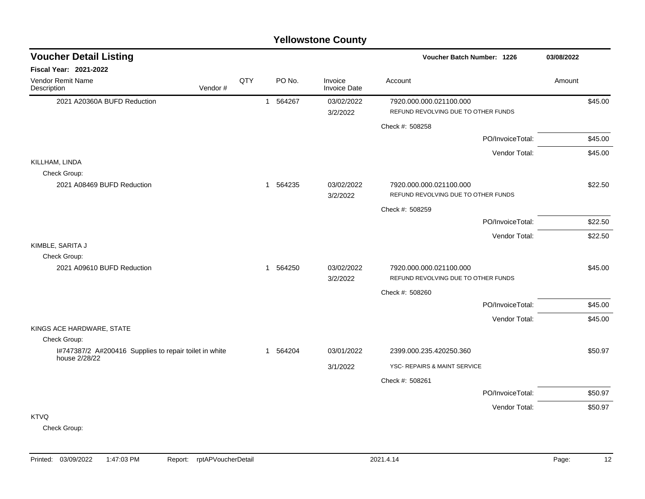|                                                                        | <b>Yellowstone County</b> |  |          |                                |                                                                |            |  |  |  |  |  |
|------------------------------------------------------------------------|---------------------------|--|----------|--------------------------------|----------------------------------------------------------------|------------|--|--|--|--|--|
| <b>Voucher Detail Listing</b>                                          |                           |  |          |                                | <b>Voucher Batch Number: 1226</b>                              | 03/08/2022 |  |  |  |  |  |
| <b>Fiscal Year: 2021-2022</b>                                          |                           |  |          |                                |                                                                |            |  |  |  |  |  |
| Vendor Remit Name<br>Description<br>Vendor#                            | QTY                       |  | PO No.   | Invoice<br><b>Invoice Date</b> | Account                                                        | Amount     |  |  |  |  |  |
| 2021 A20360A BUFD Reduction                                            |                           |  | 1 564267 | 03/02/2022<br>3/2/2022         | 7920.000.000.021100.000<br>REFUND REVOLVING DUE TO OTHER FUNDS | \$45.00    |  |  |  |  |  |
|                                                                        |                           |  |          |                                | Check #: 508258                                                |            |  |  |  |  |  |
|                                                                        |                           |  |          |                                | PO/InvoiceTotal:                                               | \$45.00    |  |  |  |  |  |
|                                                                        |                           |  |          |                                | Vendor Total:                                                  | \$45.00    |  |  |  |  |  |
| KILLHAM, LINDA<br>Check Group:                                         |                           |  |          |                                |                                                                |            |  |  |  |  |  |
| 2021 A08469 BUFD Reduction                                             |                           |  | 1 564235 | 03/02/2022<br>3/2/2022         | 7920.000.000.021100.000<br>REFUND REVOLVING DUE TO OTHER FUNDS | \$22.50    |  |  |  |  |  |
|                                                                        |                           |  |          |                                | Check #: 508259                                                |            |  |  |  |  |  |
|                                                                        |                           |  |          |                                | PO/InvoiceTotal:                                               | \$22.50    |  |  |  |  |  |
|                                                                        |                           |  |          |                                | Vendor Total:                                                  | \$22.50    |  |  |  |  |  |
| KIMBLE, SARITA J<br>Check Group:                                       |                           |  |          |                                |                                                                |            |  |  |  |  |  |
| 2021 A09610 BUFD Reduction                                             |                           |  | 1 564250 | 03/02/2022<br>3/2/2022         | 7920.000.000.021100.000<br>REFUND REVOLVING DUE TO OTHER FUNDS | \$45.00    |  |  |  |  |  |
|                                                                        |                           |  |          |                                | Check #: 508260                                                |            |  |  |  |  |  |
|                                                                        |                           |  |          |                                | PO/InvoiceTotal:                                               | \$45.00    |  |  |  |  |  |
|                                                                        |                           |  |          |                                | Vendor Total:                                                  | \$45.00    |  |  |  |  |  |
| KINGS ACE HARDWARE, STATE                                              |                           |  |          |                                |                                                                |            |  |  |  |  |  |
| Check Group:<br>I#747387/2 A#200416 Supplies to repair toilet in white |                           |  | 1 564204 | 03/01/2022                     | 2399.000.235.420250.360                                        | \$50.97    |  |  |  |  |  |
| house 2/28/22                                                          |                           |  |          | 3/1/2022                       | YSC- REPAIRS & MAINT SERVICE                                   |            |  |  |  |  |  |
|                                                                        |                           |  |          |                                | Check #: 508261                                                |            |  |  |  |  |  |
|                                                                        |                           |  |          |                                | PO/InvoiceTotal:                                               | \$50.97    |  |  |  |  |  |
|                                                                        |                           |  |          |                                | Vendor Total:                                                  | \$50.97    |  |  |  |  |  |
| <b>KTVQ</b>                                                            |                           |  |          |                                |                                                                |            |  |  |  |  |  |

Check Group: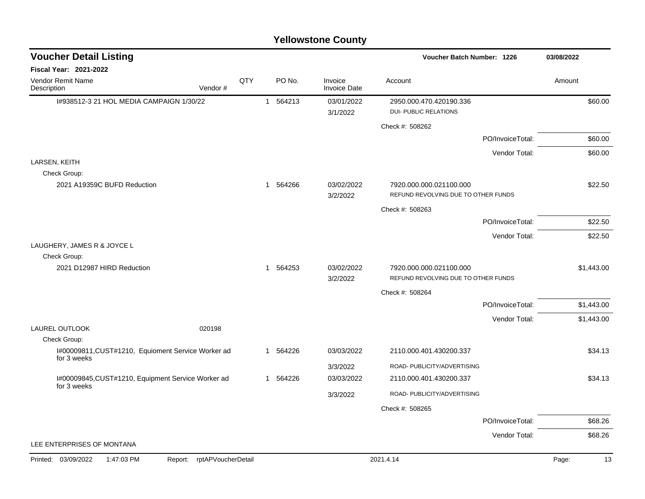#### I#938512-3 21 HOL MEDIA CAMPAIGN 1/30/22 1 564213 03/01/2022 2950.000.470.420190.336 \$60.00 3/1/2022 DUI- PUBLIC RELATIONS Check #: 508262 PO/InvoiceTotal: \$60.00 Vendor Total: \$60.00 LARSEN, KEITH Check Group: 2021 A19359C BUFD Reduction 1 564266 03/02/2022 7920.000.000.021100.000 \$22.50 3/2/2022 REFUND REVOLVING DUE TO OTHER FUNDS Check #: 508263 PO/InvoiceTotal: \$22.50 Vendor Total: \$22.50 LAUGHERY, JAMES R & JOYCE L Check Group: 2021 D12987 HIRD Reduction 1 564253 03/02/2022 7920.000.000.021100.000 \$1,443.00 3/2/2022 REFUND REVOLVING DUE TO OTHER FUNDS Check #: 508264 PO/InvoiceTotal: \$1,443.00 Vendor Total: \$1,443.00 LAUREL OUTLOOK 020198 Check Group: I#00009811,CUST#1210, Equioment Service Worker ad for 3 weeks 1 564226 03/03/2022 2110.000.401.430200.337 \$34.13 3/3/2022 ROAD- PUBLICITY/ADVERTISING I#00009845,CUST#1210, Equipment Service Worker ad for 3 weeks 1 564226 03/03/2022 2110.000.401.430200.337 \$34.13 3/3/2022 ROAD- PUBLICITY/ADVERTISING Check #: 508265 PO/InvoiceTotal: \$68.26 Vendor Total: \$68.26 LEE ENTERPRISES OF MONTANA **Voucher Batch Number: Yellowstone County** Vendor Remit Name **Description Voucher Detail Listing Fiscal Year: 2021-2022 1226 03/08/2022** PO No. Invoice Account Amount Amount Amount Amount Vendor # **QTY** Invoice Date Printed: 03/09/2022 1:47:03 PM Report: rptAPVoucherDetail 2021.4.14 2021.4.14 Page: 13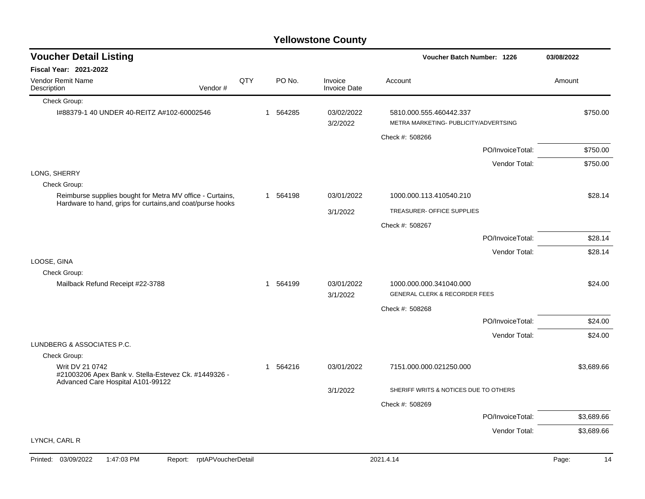#### Check Group: I#88379-1 40 UNDER 40-REITZ A#102-60002546 1 564285 03/02/2022 5810.000.555.460442.337 \$750.00 3/2/2022 METRA MARKETING- PUBLICITY/ADVERTSING Check #: 508266 PO/InvoiceTotal: \$750.00 Vendor Total: \$750.00 LONG, SHERRY Check Group: Reimburse supplies bought for Metra MV office - Curtains, Hardware to hand, grips for curtains,and coat/purse hooks 1 564198 03/01/2022 1000.000.113.410540.210 \$28.14 3/1/2022 TREASURER- OFFICE SUPPLIES Check #: 508267 PO/InvoiceTotal: \$28.14 Vendor Total: \$28.14 LOOSE, GINA Check Group: Mailback Refund Receipt #22-3788  $$24.00$ <br>  $1 564199$  03/01/2022 1000.000.000.341040.000 3/1/2022 GENERAL CLERK & RECORDER FEES Check #: 508268 PO/InvoiceTotal: \$24.00 Vendor Total: \$24.00 LUNDBERG & ASSOCIATES P.C. Check Group: Writ DV 21 0742 #21003206 Apex Bank v. Stella-Estevez Ck. #1449326 - Advanced Care Hospital A101-99122 1 564216 03/01/2022 7151.000.000.021250.000 \$3,689.66 3/1/2022 SHERIFF WRITS & NOTICES DUE TO OTHERS Check #: 508269 PO/InvoiceTotal: \$3,689.66 Vendor Total: \$3,689.66 LYNCH, CARL R **Voucher Batch Number: Yellowstone County** Vendor Remit Name Description **Voucher Detail Listing Fiscal Year: 2021-2022 1226 03/08/2022** PO No. Invoice Account Amount Amount Amount Amount Vendor # **QTY** Invoice Date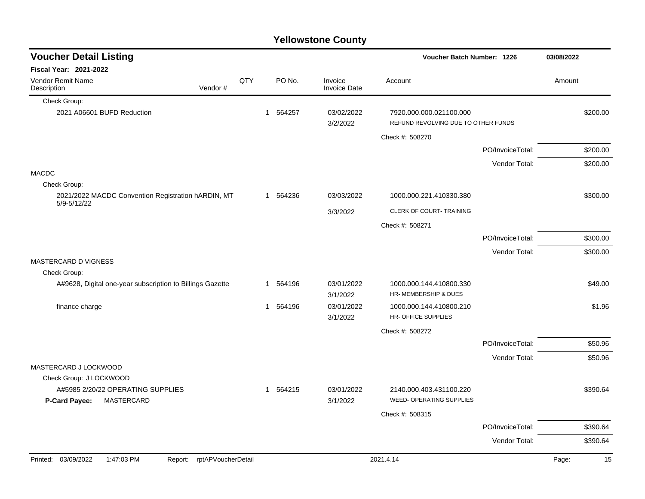| <b>Voucher Detail Listing</b>                                           |     |              |          |                                | Voucher Batch Number: 1226                                     |                  | 03/08/2022 |
|-------------------------------------------------------------------------|-----|--------------|----------|--------------------------------|----------------------------------------------------------------|------------------|------------|
| <b>Fiscal Year: 2021-2022</b>                                           |     |              |          |                                |                                                                |                  |            |
| <b>Vendor Remit Name</b><br>Vendor#<br>Description                      | QTY |              | PO No.   | Invoice<br><b>Invoice Date</b> | Account                                                        |                  | Amount     |
| Check Group:                                                            |     |              |          |                                |                                                                |                  |            |
| 2021 A06601 BUFD Reduction                                              |     | $\mathbf{1}$ | 564257   | 03/02/2022<br>3/2/2022         | 7920.000.000.021100.000<br>REFUND REVOLVING DUE TO OTHER FUNDS |                  | \$200.00   |
|                                                                         |     |              |          |                                | Check #: 508270                                                |                  |            |
|                                                                         |     |              |          |                                |                                                                | PO/InvoiceTotal: | \$200.00   |
|                                                                         |     |              |          |                                |                                                                | Vendor Total:    | \$200.00   |
| <b>MACDC</b>                                                            |     |              |          |                                |                                                                |                  |            |
| Check Group:                                                            |     |              |          |                                |                                                                |                  |            |
| 2021/2022 MACDC Convention Registration hARDIN, MT<br>5/9-5/12/22       |     |              | 1 564236 | 03/03/2022                     | 1000.000.221.410330.380                                        |                  | \$300.00   |
|                                                                         |     |              |          | 3/3/2022                       | CLERK OF COURT- TRAINING                                       |                  |            |
|                                                                         |     |              |          |                                | Check #: 508271                                                |                  |            |
|                                                                         |     |              |          |                                |                                                                | PO/InvoiceTotal: | \$300.00   |
|                                                                         |     |              |          |                                |                                                                | Vendor Total:    | \$300.00   |
| <b>MASTERCARD D VIGNESS</b>                                             |     |              |          |                                |                                                                |                  |            |
| Check Group:                                                            |     |              |          |                                |                                                                |                  |            |
| A#9628, Digital one-year subscription to Billings Gazette               |     | 1            | 564196   | 03/01/2022<br>3/1/2022         | 1000.000.144.410800.330<br>HR- MEMBERSHIP & DUES               |                  | \$49.00    |
| finance charge                                                          |     | $\mathbf{1}$ | 564196   | 03/01/2022<br>3/1/2022         | 1000.000.144.410800.210<br>HR- OFFICE SUPPLIES                 |                  | \$1.96     |
|                                                                         |     |              |          |                                | Check #: 508272                                                |                  |            |
|                                                                         |     |              |          |                                |                                                                | PO/InvoiceTotal: | \$50.96    |
|                                                                         |     |              |          |                                |                                                                | Vendor Total:    | \$50.96    |
| MASTERCARD J LOCKWOOD                                                   |     |              |          |                                |                                                                |                  |            |
| Check Group: J LOCKWOOD                                                 |     |              |          |                                |                                                                |                  |            |
| A#5985 2/20/22 OPERATING SUPPLIES<br><b>MASTERCARD</b><br>P-Card Payee: |     | $\mathbf{1}$ | 564215   | 03/01/2022<br>3/1/2022         | 2140.000.403.431100.220<br><b>WEED- OPERATING SUPPLIES</b>     |                  | \$390.64   |
|                                                                         |     |              |          |                                | Check #: 508315                                                |                  |            |
|                                                                         |     |              |          |                                |                                                                | PO/InvoiceTotal: | \$390.64   |

Vendor Total: \$390.64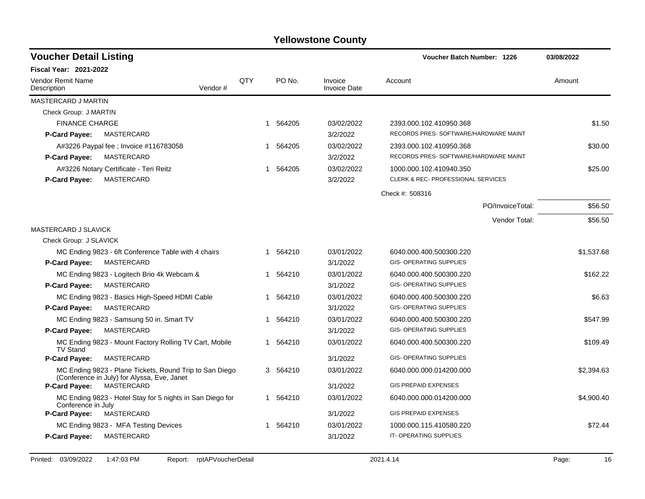| <b>Voucher Detail Listing</b>                                                                          |                |             |                                | <b>Voucher Batch Number: 1226</b>     | 03/08/2022 |  |
|--------------------------------------------------------------------------------------------------------|----------------|-------------|--------------------------------|---------------------------------------|------------|--|
| <b>Fiscal Year: 2021-2022</b>                                                                          |                |             |                                |                                       |            |  |
| Vendor Remit Name<br>Description                                                                       | QTY<br>Vendor# | PO No.      | Invoice<br><b>Invoice Date</b> | Account                               | Amount     |  |
| MASTERCARD J MARTIN                                                                                    |                |             |                                |                                       |            |  |
| Check Group: J MARTIN                                                                                  |                |             |                                |                                       |            |  |
| <b>FINANCE CHARGE</b>                                                                                  |                | 564205<br>1 | 03/02/2022                     | 2393.000.102.410950.368               | \$1.50     |  |
| <b>P-Card Payee:</b><br>MASTERCARD                                                                     |                |             | 3/2/2022                       | RECORDS PRES-SOFTWARE/HARDWARE MAINT  |            |  |
| A#3226 Paypal fee ; Invoice #116783058                                                                 |                | 564205<br>1 | 03/02/2022                     | 2393.000.102.410950.368               | \$30.00    |  |
| MASTERCARD<br><b>P-Card Payee:</b>                                                                     |                |             | 3/2/2022                       | RECORDS PRES- SOFTWARE/HARDWARE MAINT |            |  |
| A#3226 Notary Certificate - Teri Reitz                                                                 |                | 564205      | 03/02/2022                     | 1000.000.102.410940.350               | \$25.00    |  |
| MASTERCARD<br><b>P-Card Payee:</b>                                                                     |                |             | 3/2/2022                       | CLERK & REC- PROFESSIONAL SERVICES    |            |  |
|                                                                                                        |                |             |                                | Check #: 508316                       |            |  |
|                                                                                                        |                |             |                                | PO/InvoiceTotal:                      | \$56.50    |  |
|                                                                                                        |                |             |                                | Vendor Total:                         | \$56.50    |  |
| MASTERCARD J SLAVICK                                                                                   |                |             |                                |                                       |            |  |
| Check Group: J SLAVICK                                                                                 |                |             |                                |                                       |            |  |
| MC Ending 9823 - 6ft Conference Table with 4 chairs                                                    |                | 1 564210    | 03/01/2022                     | 6040.000.400.500300.220               | \$1,537.68 |  |
| P-Card Payee:<br>MASTERCARD                                                                            |                |             | 3/1/2022                       | <b>GIS- OPERATING SUPPLIES</b>        |            |  |
| MC Ending 9823 - Logitech Brio 4k Webcam &                                                             |                | 1 564210    | 03/01/2022                     | 6040.000.400.500300.220               | \$162.22   |  |
| P-Card Payee:<br>MASTERCARD                                                                            |                |             | 3/1/2022                       | <b>GIS- OPERATING SUPPLIES</b>        |            |  |
| MC Ending 9823 - Basics High-Speed HDMI Cable                                                          |                | 564210<br>1 | 03/01/2022                     | 6040.000.400.500300.220               | \$6.63     |  |
| MASTERCARD<br><b>P-Card Payee:</b>                                                                     |                |             | 3/1/2022                       | <b>GIS- OPERATING SUPPLIES</b>        |            |  |
| MC Ending 9823 - Samsung 50 in. Smart TV                                                               |                | 564210<br>1 | 03/01/2022                     | 6040.000.400.500300.220               | \$547.99   |  |
| MASTERCARD<br>P-Card Payee:                                                                            |                |             | 3/1/2022                       | <b>GIS- OPERATING SUPPLIES</b>        |            |  |
| MC Ending 9823 - Mount Factory Rolling TV Cart, Mobile<br><b>TV Stand</b>                              |                | 564210<br>1 | 03/01/2022                     | 6040.000.400.500300.220               | \$109.49   |  |
| <b>P-Card Payee:</b><br>MASTERCARD                                                                     |                |             | 3/1/2022                       | <b>GIS- OPERATING SUPPLIES</b>        |            |  |
| MC Ending 9823 - Plane Tickets, Round Trip to San Diego<br>(Conference in July) for Alyssa, Eve, Janet |                | 3 564210    | 03/01/2022                     | 6040.000.000.014200.000               | \$2,394.63 |  |
| P-Card Payee:<br>MASTERCARD                                                                            |                |             | 3/1/2022                       | <b>GIS PREPAID EXPENSES</b>           |            |  |
| MC Ending 9823 - Hotel Stay for 5 nights in San Diego for<br>Conference in July                        |                | 1 564210    | 03/01/2022                     | 6040.000.000.014200.000               | \$4,900.40 |  |
| <b>P-Card Payee:</b><br>MASTERCARD                                                                     |                |             | 3/1/2022                       | <b>GIS PREPAID EXPENSES</b>           |            |  |
| MC Ending 9823 - MFA Testing Devices                                                                   |                | 1 564210    | 03/01/2022                     | 1000.000.115.410580.220               | \$72.44    |  |
| P-Card Payee:<br>MASTERCARD                                                                            |                |             | 3/1/2022                       | IT-OPERATING SUPPLIES                 |            |  |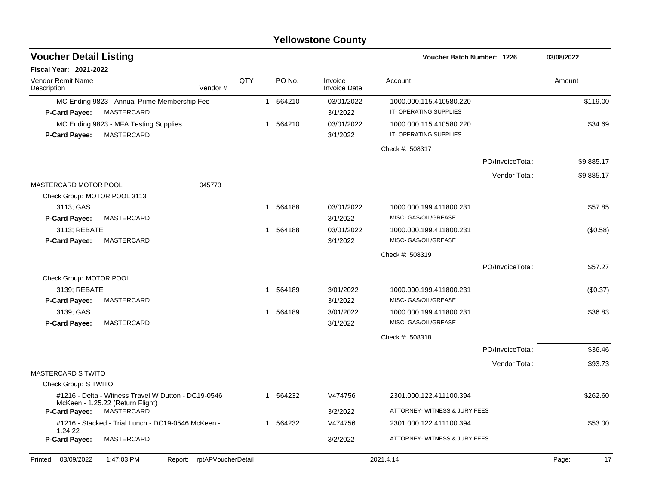| <b>Voucher Detail Listing</b><br>Voucher Batch Number: 1226 |                                                                                         | 03/08/2022                 |     |          |                                |                               |                  |            |          |
|-------------------------------------------------------------|-----------------------------------------------------------------------------------------|----------------------------|-----|----------|--------------------------------|-------------------------------|------------------|------------|----------|
| Fiscal Year: 2021-2022                                      |                                                                                         |                            |     |          |                                |                               |                  |            |          |
| Vendor Remit Name<br>Description                            |                                                                                         | Vendor#                    | QTY | PO No.   | Invoice<br><b>Invoice Date</b> | Account                       |                  | Amount     |          |
|                                                             | MC Ending 9823 - Annual Prime Membership Fee                                            |                            |     | 1 564210 | 03/01/2022                     | 1000.000.115.410580.220       |                  |            | \$119.00 |
| P-Card Payee:                                               | MASTERCARD                                                                              |                            |     |          | 3/1/2022                       | IT-OPERATING SUPPLIES         |                  |            |          |
|                                                             | MC Ending 9823 - MFA Testing Supplies                                                   |                            |     | 1 564210 | 03/01/2022                     | 1000.000.115.410580.220       |                  |            | \$34.69  |
| <b>P-Card Payee:</b>                                        | MASTERCARD                                                                              |                            |     |          | 3/1/2022                       | IT-OPERATING SUPPLIES         |                  |            |          |
|                                                             |                                                                                         |                            |     |          |                                | Check #: 508317               |                  |            |          |
|                                                             |                                                                                         |                            |     |          |                                |                               | PO/InvoiceTotal: | \$9,885.17 |          |
|                                                             |                                                                                         |                            |     |          |                                |                               | Vendor Total:    | \$9,885.17 |          |
| <b>MASTERCARD MOTOR POOL</b>                                |                                                                                         | 045773                     |     |          |                                |                               |                  |            |          |
| Check Group: MOTOR POOL 3113                                |                                                                                         |                            |     |          |                                |                               |                  |            |          |
| 3113; GAS                                                   |                                                                                         |                            |     | 1 564188 | 03/01/2022                     | 1000.000.199.411800.231       |                  |            | \$57.85  |
| P-Card Payee:                                               | MASTERCARD                                                                              |                            |     |          | 3/1/2022                       | MISC- GAS/OIL/GREASE          |                  |            |          |
| 3113; REBATE                                                |                                                                                         |                            |     | 1 564188 | 03/01/2022                     | 1000.000.199.411800.231       |                  |            | (\$0.58) |
| MASTERCARD<br><b>P-Card Payee:</b>                          |                                                                                         |                            |     | 3/1/2022 | MISC- GAS/OIL/GREASE           |                               |                  |            |          |
|                                                             |                                                                                         |                            |     |          | Check #: 508319                |                               |                  |            |          |
|                                                             |                                                                                         |                            |     |          |                                |                               | PO/InvoiceTotal: |            | \$57.27  |
| Check Group: MOTOR POOL                                     |                                                                                         |                            |     |          |                                |                               |                  |            |          |
| 3139; REBATE                                                |                                                                                         |                            |     | 1 564189 | 3/01/2022                      | 1000.000.199.411800.231       |                  |            | (\$0.37) |
| P-Card Payee:                                               | MASTERCARD                                                                              |                            |     |          | 3/1/2022                       | MISC- GAS/OIL/GREASE          |                  |            |          |
| 3139; GAS                                                   |                                                                                         |                            |     | 1 564189 | 3/01/2022                      | 1000.000.199.411800.231       |                  |            | \$36.83  |
| P-Card Payee:                                               | MASTERCARD                                                                              |                            |     |          | 3/1/2022                       | MISC- GAS/OIL/GREASE          |                  |            |          |
|                                                             |                                                                                         |                            |     |          |                                | Check #: 508318               |                  |            |          |
|                                                             |                                                                                         |                            |     |          |                                |                               | PO/InvoiceTotal: |            | \$36.46  |
|                                                             |                                                                                         |                            |     |          |                                |                               | Vendor Total:    |            | \$93.73  |
| <b>MASTERCARD S TWITO</b>                                   |                                                                                         |                            |     |          |                                |                               |                  |            |          |
| Check Group: S TWITO                                        |                                                                                         |                            |     |          |                                |                               |                  |            |          |
|                                                             | #1216 - Delta - Witness Travel W Dutton - DC19-0546<br>McKeen - 1.25.22 (Return Flight) |                            |     | 1 564232 | V474756                        | 2301.000.122.411100.394       |                  |            | \$262.60 |
| <b>P-Card Payee:</b>                                        | MASTERCARD                                                                              |                            |     |          | 3/2/2022                       | ATTORNEY- WITNESS & JURY FEES |                  |            |          |
| 1.24.22                                                     | #1216 - Stacked - Trial Lunch - DC19-0546 McKeen -                                      |                            |     | 1 564232 | V474756                        | 2301.000.122.411100.394       |                  |            | \$53.00  |
| <b>P-Card Payee:</b>                                        | MASTERCARD                                                                              |                            |     |          | 3/2/2022                       | ATTORNEY- WITNESS & JURY FEES |                  |            |          |
| Printed: 03/09/2022                                         | 1:47:03 PM                                                                              | Report: rptAPVoucherDetail |     |          |                                | 2021.4.14                     |                  | Page:      | 17       |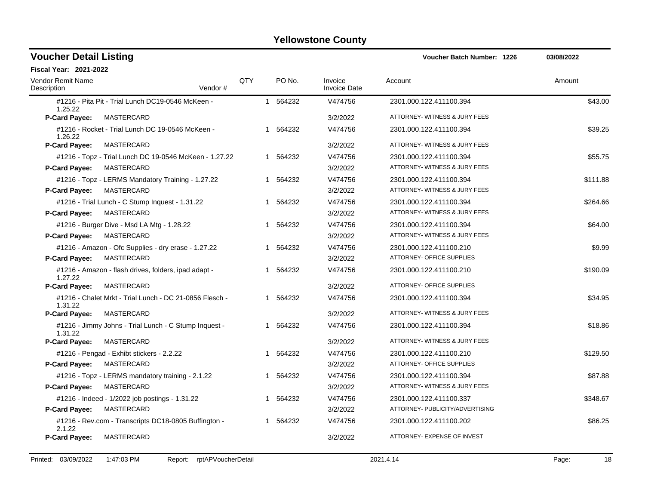| <b>Voucher Detail Listing</b>           |                                                         |     |                        |                                | <b>Voucher Batch Number: 1226</b> | 03/08/2022 |
|-----------------------------------------|---------------------------------------------------------|-----|------------------------|--------------------------------|-----------------------------------|------------|
| <b>Fiscal Year: 2021-2022</b>           |                                                         |     |                        |                                |                                   |            |
| <b>Vendor Remit Name</b><br>Description | Vendor#                                                 | QTY | PO No.                 | Invoice<br><b>Invoice Date</b> | Account                           | Amount     |
| 1.25.22                                 | #1216 - Pita Pit - Trial Lunch DC19-0546 McKeen -       |     | 1 564232               | V474756                        | 2301.000.122.411100.394           | \$43.00    |
| P-Card Payee:                           | MASTERCARD                                              |     |                        | 3/2/2022                       | ATTORNEY- WITNESS & JURY FEES     |            |
| 1.26.22                                 | #1216 - Rocket - Trial Lunch DC 19-0546 McKeen -        |     | 1 564232               | V474756                        | 2301.000.122.411100.394           | \$39.25    |
| P-Card Payee:                           | MASTERCARD                                              |     |                        | 3/2/2022                       | ATTORNEY- WITNESS & JURY FEES     |            |
|                                         | #1216 - Topz - Trial Lunch DC 19-0546 McKeen - 1.27.22  |     | 1 564232               | V474756                        | 2301.000.122.411100.394           | \$55.75    |
| <b>P-Card Payee:</b>                    | MASTERCARD                                              |     |                        | 3/2/2022                       | ATTORNEY- WITNESS & JURY FEES     |            |
|                                         | #1216 - Topz - LERMS Mandatory Training - 1.27.22       |     | 1 564232               | V474756                        | 2301.000.122.411100.394           | \$111.88   |
| P-Card Payee:                           | MASTERCARD                                              |     |                        | 3/2/2022                       | ATTORNEY- WITNESS & JURY FEES     |            |
|                                         | #1216 - Trial Lunch - C Stump Inquest - 1.31.22         |     | 1 564232               | V474756                        | 2301.000.122.411100.394           | \$264.66   |
| <b>P-Card Payee:</b>                    | <b>MASTERCARD</b>                                       |     |                        | 3/2/2022                       | ATTORNEY- WITNESS & JURY FEES     |            |
|                                         | #1216 - Burger Dive - Msd LA Mtg - 1.28.22              |     | 1 564232               | V474756                        | 2301.000.122.411100.394           | \$64.00    |
| <b>P-Card Payee:</b>                    | MASTERCARD                                              |     |                        | 3/2/2022                       | ATTORNEY- WITNESS & JURY FEES     |            |
|                                         | #1216 - Amazon - Ofc Supplies - dry erase - 1.27.22     |     | 1 564232               | V474756                        | 2301.000.122.411100.210           | \$9.99     |
| P-Card Payee:                           | MASTERCARD                                              |     |                        | 3/2/2022                       | <b>ATTORNEY- OFFICE SUPPLIES</b>  |            |
| 1.27.22                                 | #1216 - Amazon - flash drives, folders, ipad adapt -    |     | 1 564232               | V474756                        | 2301.000.122.411100.210           | \$190.09   |
| <b>P-Card Payee:</b>                    | MASTERCARD                                              |     |                        | 3/2/2022                       | ATTORNEY- OFFICE SUPPLIES         |            |
| 1.31.22                                 | #1216 - Chalet Mrkt - Trial Lunch - DC 21-0856 Flesch - |     | 1 564232               | V474756                        | 2301.000.122.411100.394           | \$34.95    |
| <b>P-Card Payee:</b>                    | MASTERCARD                                              |     |                        | 3/2/2022                       | ATTORNEY- WITNESS & JURY FEES     |            |
| 1.31.22                                 | #1216 - Jimmy Johns - Trial Lunch - C Stump Inquest -   |     | 1 564232               | V474756                        | 2301.000.122.411100.394           | \$18.86    |
| P-Card Payee:                           | MASTERCARD                                              |     |                        | 3/2/2022                       | ATTORNEY- WITNESS & JURY FEES     |            |
|                                         | #1216 - Pengad - Exhibt stickers - 2.2.22               |     | 564232<br>$\mathbf{1}$ | V474756                        | 2301.000.122.411100.210           | \$129.50   |
| P-Card Payee:                           | MASTERCARD                                              |     |                        | 3/2/2022                       | ATTORNEY- OFFICE SUPPLIES         |            |
|                                         | #1216 - Topz - LERMS mandatory training - 2.1.22        |     | 1 564232               | V474756                        | 2301.000.122.411100.394           | \$87.88    |
| P-Card Payee:                           | MASTERCARD                                              |     |                        | 3/2/2022                       | ATTORNEY- WITNESS & JURY FEES     |            |
|                                         | #1216 - Indeed - 1/2022 job postings - 1.31.22          |     | 564232                 | V474756                        | 2301.000.122.411100.337           | \$348.67   |
| P-Card Payee:                           | MASTERCARD                                              |     |                        | 3/2/2022                       | ATTORNEY- PUBLICITY/ADVERTISING   |            |
| 2.1.22                                  | #1216 - Rev.com - Transcripts DC18-0805 Buffington -    |     | 1 564232               | V474756                        | 2301.000.122.411100.202           | \$86.25    |
| <b>P-Card Payee:</b>                    | MASTERCARD                                              |     |                        | 3/2/2022                       | ATTORNEY- EXPENSE OF INVEST       |            |
|                                         |                                                         |     |                        |                                |                                   |            |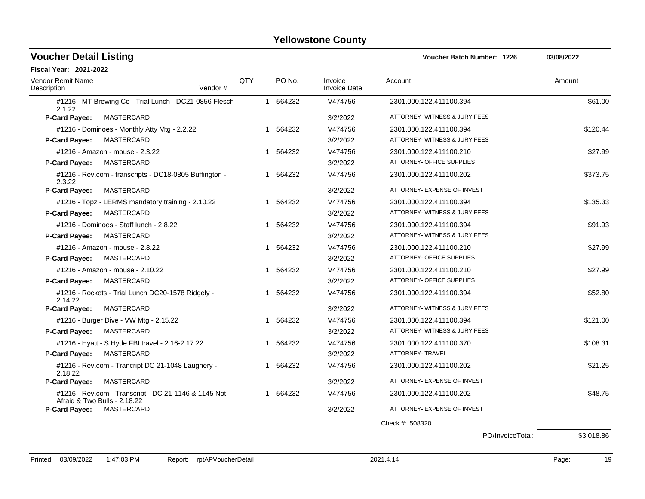| <b>Voucher Detail Listing</b>           |                                                          |     | <b>Voucher Batch Number: 1226</b> | 03/08/2022                     |                               |          |
|-----------------------------------------|----------------------------------------------------------|-----|-----------------------------------|--------------------------------|-------------------------------|----------|
| <b>Fiscal Year: 2021-2022</b>           |                                                          |     |                                   |                                |                               |          |
| Vendor Remit Name<br>Description        | Vendor#                                                  | QTY | PO No.                            | Invoice<br><b>Invoice Date</b> | Account                       | Amount   |
| 2.1.22                                  | #1216 - MT Brewing Co - Trial Lunch - DC21-0856 Flesch - |     | 1 564232                          | V474756                        | 2301.000.122.411100.394       | \$61.00  |
| P-Card Payee:                           | MASTERCARD                                               |     |                                   | 3/2/2022                       | ATTORNEY- WITNESS & JURY FEES |          |
|                                         | #1216 - Dominoes - Monthly Atty Mtg - 2.2.22             |     | 1 564232                          | V474756                        | 2301.000.122.411100.394       | \$120.44 |
| <b>P-Card Payee:</b>                    | <b>MASTERCARD</b>                                        |     |                                   | 3/2/2022                       | ATTORNEY- WITNESS & JURY FEES |          |
| #1216 - Amazon - mouse - 2.3.22         |                                                          |     | 1 564232                          | V474756                        | 2301.000.122.411100.210       | \$27.99  |
| <b>P-Card Payee:</b>                    | MASTERCARD                                               |     |                                   | 3/2/2022                       | ATTORNEY- OFFICE SUPPLIES     |          |
| 2.3.22                                  | #1216 - Rev.com - transcripts - DC18-0805 Buffington -   |     | 1 564232                          | V474756                        | 2301.000.122.411100.202       | \$373.75 |
| P-Card Payee:                           | MASTERCARD                                               |     |                                   | 3/2/2022                       | ATTORNEY- EXPENSE OF INVEST   |          |
|                                         | #1216 - Topz - LERMS mandatory training - 2.10.22        |     | 1 564232                          | V474756                        | 2301.000.122.411100.394       | \$135.33 |
| P-Card Payee:                           | MASTERCARD                                               |     |                                   | 3/2/2022                       | ATTORNEY- WITNESS & JURY FEES |          |
| #1216 - Dominoes - Staff lunch - 2.8.22 |                                                          |     | 1 564232                          | V474756                        | 2301.000.122.411100.394       | \$91.93  |
| P-Card Payee:                           | <b>MASTERCARD</b>                                        |     |                                   | 3/2/2022                       | ATTORNEY- WITNESS & JURY FEES |          |
| #1216 - Amazon - mouse - 2.8.22         |                                                          |     | 1 564232                          | V474756                        | 2301.000.122.411100.210       | \$27.99  |
| <b>P-Card Payee:</b>                    | MASTERCARD                                               |     |                                   | 3/2/2022                       | ATTORNEY- OFFICE SUPPLIES     |          |
| #1216 - Amazon - mouse - 2.10.22        |                                                          |     | 1 564232                          | V474756                        | 2301.000.122.411100.210       | \$27.99  |
| P-Card Payee:                           | MASTERCARD                                               |     |                                   | 3/2/2022                       | ATTORNEY- OFFICE SUPPLIES     |          |
| 2.14.22                                 | #1216 - Rockets - Trial Lunch DC20-1578 Ridgely -        |     | 1 564232                          | V474756                        | 2301.000.122.411100.394       | \$52.80  |
| <b>P-Card Payee:</b>                    | MASTERCARD                                               |     |                                   | 3/2/2022                       | ATTORNEY- WITNESS & JURY FEES |          |
| #1216 - Burger Dive - VW Mtg - 2.15.22  |                                                          |     | 1 564232                          | V474756                        | 2301.000.122.411100.394       | \$121.00 |
| <b>P-Card Payee:</b>                    | MASTERCARD                                               |     |                                   | 3/2/2022                       | ATTORNEY- WITNESS & JURY FEES |          |
|                                         | #1216 - Hyatt - S Hyde FBI travel - 2.16-2.17.22         |     | 1 564232                          | V474756                        | 2301.000.122.411100.370       | \$108.31 |
| <b>P-Card Payee:</b>                    | MASTERCARD                                               |     |                                   | 3/2/2022                       | <b>ATTORNEY- TRAVEL</b>       |          |
| 2.18.22                                 | #1216 - Rev.com - Trancript DC 21-1048 Laughery -        |     | 1 564232                          | V474756                        | 2301.000.122.411100.202       | \$21.25  |
| P-Card Payee:                           | MASTERCARD                                               |     |                                   | 3/2/2022                       | ATTORNEY- EXPENSE OF INVEST   |          |
| Afraid & Two Bulls - 2.18.22            | #1216 - Rev.com - Transcript - DC 21-1146 & 1145 Not     |     | 1 564232                          | V474756                        | 2301.000.122.411100.202       | \$48.75  |
| <b>P-Card Payee:</b>                    | MASTERCARD                                               |     |                                   | 3/2/2022                       | ATTORNEY- EXPENSE OF INVEST   |          |
|                                         |                                                          |     |                                   |                                | Check #: 508320               |          |

PO/InvoiceTotal: \$3,018.86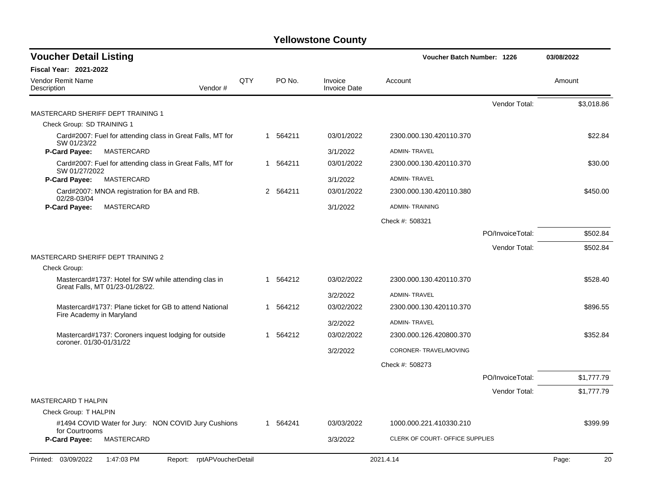| <b>Voucher Detail Listing</b>           |                                                                                          |     |             |                                | Voucher Batch Number: 1226      |                  |             |
|-----------------------------------------|------------------------------------------------------------------------------------------|-----|-------------|--------------------------------|---------------------------------|------------------|-------------|
| <b>Fiscal Year: 2021-2022</b>           |                                                                                          |     |             |                                |                                 |                  |             |
| <b>Vendor Remit Name</b><br>Description | Vendor#                                                                                  | QTY | PO No.      | Invoice<br><b>Invoice Date</b> | Account                         |                  | Amount      |
|                                         |                                                                                          |     |             |                                |                                 | Vendor Total:    | \$3,018.86  |
| MASTERCARD SHERIFF DEPT TRAINING 1      |                                                                                          |     |             |                                |                                 |                  |             |
| Check Group: SD TRAINING 1              |                                                                                          |     |             |                                |                                 |                  |             |
| SW 01/23/22                             | Card#2007: Fuel for attending class in Great Falls, MT for                               |     | 1 564211    | 03/01/2022                     | 2300.000.130.420110.370         |                  | \$22.84     |
| <b>P-Card Payee:</b>                    | MASTERCARD                                                                               |     |             | 3/1/2022                       | <b>ADMIN-TRAVEL</b>             |                  |             |
| SW 01/27/2022                           | Card#2007: Fuel for attending class in Great Falls, MT for                               |     | 1 564211    | 03/01/2022                     | 2300.000.130.420110.370         |                  | \$30.00     |
| P-Card Payee:                           | MASTERCARD                                                                               |     |             | 3/1/2022                       | <b>ADMIN-TRAVEL</b>             |                  |             |
| 02/28-03/04                             | Card#2007: MNOA registration for BA and RB.                                              |     | 2 564211    | 03/01/2022                     | 2300.000.130.420110.380         |                  | \$450.00    |
| P-Card Payee:                           | MASTERCARD                                                                               |     |             | 3/1/2022                       | <b>ADMIN-TRAINING</b>           |                  |             |
|                                         |                                                                                          |     |             |                                | Check #: 508321                 |                  |             |
|                                         |                                                                                          |     |             |                                |                                 | PO/InvoiceTotal: | \$502.84    |
|                                         |                                                                                          |     |             |                                |                                 | Vendor Total:    | \$502.84    |
| MASTERCARD SHERIFF DEPT TRAINING 2      |                                                                                          |     |             |                                |                                 |                  |             |
| Check Group:                            |                                                                                          |     |             |                                |                                 |                  |             |
|                                         | Mastercard#1737: Hotel for SW while attending clas in<br>Great Falls, MT 01/23-01/28/22. |     | 564212<br>1 | 03/02/2022                     | 2300.000.130.420110.370         |                  | \$528.40    |
|                                         |                                                                                          |     |             | 3/2/2022                       | <b>ADMIN-TRAVEL</b>             |                  |             |
| Fire Academy in Maryland                | Mastercard#1737: Plane ticket for GB to attend National                                  |     | 564212<br>1 | 03/02/2022                     | 2300.000.130.420110.370         |                  | \$896.55    |
|                                         |                                                                                          |     |             | 3/2/2022                       | <b>ADMIN-TRAVEL</b>             |                  |             |
| coroner, 01/30-01/31/22                 | Mastercard#1737: Coroners inquest lodging for outside                                    |     | 564212<br>1 | 03/02/2022                     | 2300.000.126.420800.370         |                  | \$352.84    |
|                                         |                                                                                          |     |             | 3/2/2022                       | CORONER-TRAVEL/MOVING           |                  |             |
|                                         |                                                                                          |     |             |                                | Check #: 508273                 |                  |             |
|                                         |                                                                                          |     |             |                                |                                 | PO/InvoiceTotal: | \$1,777.79  |
|                                         |                                                                                          |     |             |                                |                                 | Vendor Total:    | \$1,777.79  |
| MASTERCARD T HALPIN                     |                                                                                          |     |             |                                |                                 |                  |             |
| Check Group: T HALPIN                   |                                                                                          |     |             |                                |                                 |                  |             |
| for Courtrooms                          | #1494 COVID Water for Jury: NON COVID Jury Cushions                                      |     | 1 564241    | 03/03/2022                     | 1000.000.221.410330.210         |                  | \$399.99    |
| <b>P-Card Payee:</b>                    | MASTERCARD                                                                               |     |             | 3/3/2022                       | CLERK OF COURT- OFFICE SUPPLIES |                  |             |
| Printed: 03/09/2022                     | rptAPVoucherDetail<br>1:47:03 PM<br>Report:                                              |     |             |                                | 2021.4.14                       |                  | Page:<br>20 |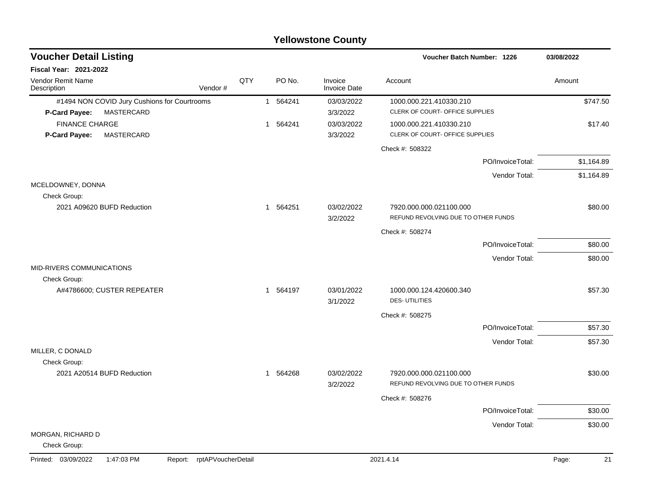| <b>Voucher Detail Listing</b>                                      |     |              | Voucher Batch Number: 1226 | 03/08/2022                     |                                                 |             |
|--------------------------------------------------------------------|-----|--------------|----------------------------|--------------------------------|-------------------------------------------------|-------------|
| Fiscal Year: 2021-2022                                             |     |              |                            |                                |                                                 |             |
| Vendor Remit Name<br>Description<br>Vendor#                        | QTY |              | PO No.                     | Invoice<br><b>Invoice Date</b> | Account                                         | Amount      |
| #1494 NON COVID Jury Cushions for Courtrooms                       |     |              | 1 564241                   | 03/03/2022                     | 1000.000.221.410330.210                         | \$747.50    |
| MASTERCARD<br><b>P-Card Payee:</b>                                 |     |              |                            | 3/3/2022                       | CLERK OF COURT- OFFICE SUPPLIES                 |             |
| <b>FINANCE CHARGE</b>                                              |     | $\mathbf{1}$ | 564241                     | 03/03/2022                     | 1000.000.221.410330.210                         | \$17.40     |
| MASTERCARD<br><b>P-Card Payee:</b>                                 |     |              |                            | 3/3/2022                       | CLERK OF COURT- OFFICE SUPPLIES                 |             |
|                                                                    |     |              |                            |                                | Check #: 508322                                 |             |
|                                                                    |     |              |                            |                                | PO/InvoiceTotal:                                | \$1,164.89  |
|                                                                    |     |              |                            |                                | Vendor Total:                                   | \$1,164.89  |
| MCELDOWNEY, DONNA                                                  |     |              |                            |                                |                                                 |             |
| Check Group:                                                       |     |              |                            |                                |                                                 |             |
| 2021 A09620 BUFD Reduction                                         |     | $\mathbf{1}$ | 564251                     | 03/02/2022                     | 7920.000.000.021100.000                         | \$80.00     |
|                                                                    |     |              |                            | 3/2/2022                       | REFUND REVOLVING DUE TO OTHER FUNDS             |             |
|                                                                    |     |              |                            |                                | Check #: 508274                                 |             |
|                                                                    |     |              |                            |                                | PO/InvoiceTotal:                                | \$80.00     |
|                                                                    |     |              |                            |                                | Vendor Total:                                   | \$80.00     |
| MID-RIVERS COMMUNICATIONS                                          |     |              |                            |                                |                                                 |             |
| Check Group:                                                       |     |              |                            |                                |                                                 |             |
| A#4786600; CUSTER REPEATER                                         |     |              | 1 564197                   | 03/01/2022<br>3/1/2022         | 1000.000.124.420600.340<br><b>DES-UTILITIES</b> | \$57.30     |
|                                                                    |     |              |                            |                                |                                                 |             |
|                                                                    |     |              |                            |                                | Check #: 508275                                 |             |
|                                                                    |     |              |                            |                                | PO/InvoiceTotal:                                | \$57.30     |
|                                                                    |     |              |                            |                                | Vendor Total:                                   | \$57.30     |
| MILLER, C DONALD                                                   |     |              |                            |                                |                                                 |             |
| Check Group:<br>2021 A20514 BUFD Reduction                         |     | $\mathbf{1}$ | 564268                     | 03/02/2022                     | 7920.000.000.021100.000                         | \$30.00     |
|                                                                    |     |              |                            | 3/2/2022                       | REFUND REVOLVING DUE TO OTHER FUNDS             |             |
|                                                                    |     |              |                            |                                | Check #: 508276                                 |             |
|                                                                    |     |              |                            |                                |                                                 |             |
|                                                                    |     |              |                            |                                | PO/InvoiceTotal:                                | \$30.00     |
| MORGAN, RICHARD D                                                  |     |              |                            |                                | Vendor Total:                                   | \$30.00     |
| Check Group:                                                       |     |              |                            |                                |                                                 |             |
| Printed: 03/09/2022<br>rptAPVoucherDetail<br>1:47:03 PM<br>Report: |     |              |                            |                                | 2021.4.14                                       | 21<br>Page: |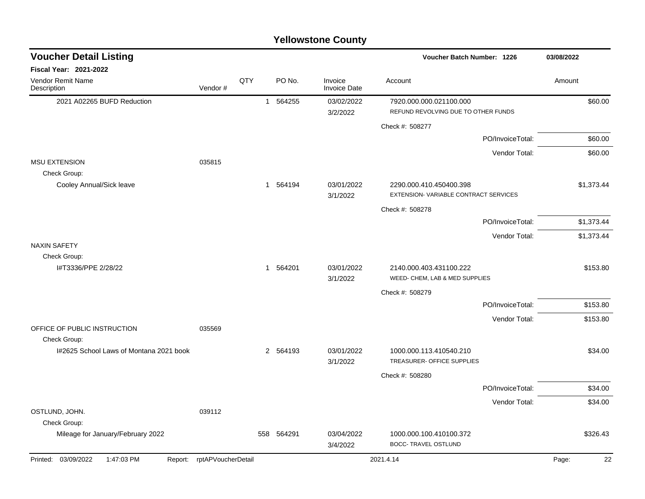| <b>Yellowstone County</b> |  |
|---------------------------|--|
|---------------------------|--|

| <b>Voucher Detail Listing</b>                |                    |     |          |                                | Voucher Batch Number: 1226                                      | 03/08/2022  |
|----------------------------------------------|--------------------|-----|----------|--------------------------------|-----------------------------------------------------------------|-------------|
| <b>Fiscal Year: 2021-2022</b>                |                    |     |          |                                |                                                                 |             |
| Vendor Remit Name<br>Description             | Vendor#            | QTY | PO No.   | Invoice<br><b>Invoice Date</b> | Account                                                         | Amount      |
| 2021 A02265 BUFD Reduction                   |                    |     | 1 564255 | 03/02/2022<br>3/2/2022         | 7920.000.000.021100.000<br>REFUND REVOLVING DUE TO OTHER FUNDS  | \$60.00     |
|                                              |                    |     |          |                                | Check #: 508277                                                 |             |
|                                              |                    |     |          |                                | PO/InvoiceTotal:                                                | \$60.00     |
|                                              |                    |     |          |                                | Vendor Total:                                                   | \$60.00     |
| <b>MSU EXTENSION</b><br>Check Group:         | 035815             |     |          |                                |                                                                 |             |
| Cooley Annual/Sick leave                     |                    |     | 1 564194 | 03/01/2022<br>3/1/2022         | 2290.000.410.450400.398<br>EXTENSION-VARIABLE CONTRACT SERVICES | \$1,373.44  |
|                                              |                    |     |          |                                | Check #: 508278                                                 |             |
|                                              |                    |     |          |                                | PO/InvoiceTotal:                                                | \$1,373.44  |
|                                              |                    |     |          |                                | Vendor Total:                                                   | \$1,373.44  |
| <b>NAXIN SAFETY</b>                          |                    |     |          |                                |                                                                 |             |
| Check Group:<br>I#T3336/PPE 2/28/22          |                    |     | 1 564201 | 03/01/2022<br>3/1/2022         | 2140.000.403.431100.222<br>WEED- CHEM, LAB & MED SUPPLIES       | \$153.80    |
|                                              |                    |     |          |                                | Check #: 508279                                                 |             |
|                                              |                    |     |          |                                | PO/InvoiceTotal:                                                | \$153.80    |
|                                              |                    |     |          |                                | Vendor Total:                                                   | \$153.80    |
| OFFICE OF PUBLIC INSTRUCTION<br>Check Group: | 035569             |     |          |                                |                                                                 |             |
| I#2625 School Laws of Montana 2021 book      |                    |     | 2 564193 | 03/01/2022<br>3/1/2022         | 1000.000.113.410540.210<br>TREASURER- OFFICE SUPPLIES           | \$34.00     |
|                                              |                    |     |          |                                | Check #: 508280                                                 |             |
|                                              |                    |     |          |                                | PO/InvoiceTotal:                                                | \$34.00     |
|                                              |                    |     |          |                                | Vendor Total:                                                   | \$34.00     |
| OSTLUND, JOHN.<br>Check Group:               | 039112             |     |          |                                |                                                                 |             |
| Mileage for January/February 2022            |                    | 558 | 564291   | 03/04/2022<br>3/4/2022         | 1000.000.100.410100.372<br><b>BOCC- TRAVEL OSTLUND</b>          | \$326.43    |
| Printed: 03/09/2022<br>1:47:03 PM<br>Report: | rptAPVoucherDetail |     |          |                                | 2021.4.14                                                       | 22<br>Page: |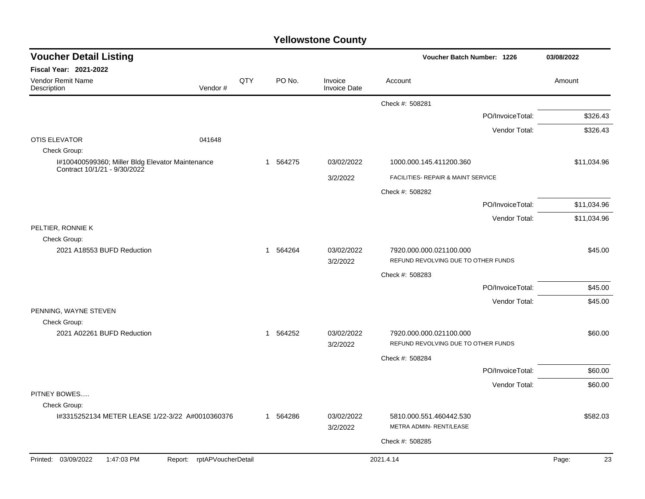| <b>Voucher Detail Listing</b>                                                    |                               |     |              |                                |                                                                | Voucher Batch Number: 1226 |             |         |
|----------------------------------------------------------------------------------|-------------------------------|-----|--------------|--------------------------------|----------------------------------------------------------------|----------------------------|-------------|---------|
| <b>Fiscal Year: 2021-2022</b>                                                    |                               |     |              |                                |                                                                |                            |             |         |
| Vendor Remit Name<br>Description                                                 | Vendor#                       | QTY | PO No.       | Invoice<br><b>Invoice Date</b> | Account                                                        |                            | Amount      |         |
|                                                                                  |                               |     |              |                                | Check #: 508281                                                |                            |             |         |
|                                                                                  |                               |     |              |                                |                                                                | PO/InvoiceTotal:           | \$326.43    |         |
|                                                                                  |                               |     |              |                                |                                                                | Vendor Total:              | \$326.43    |         |
| <b>OTIS ELEVATOR</b>                                                             | 041648                        |     |              |                                |                                                                |                            |             |         |
| Check Group:                                                                     |                               |     |              |                                |                                                                |                            |             |         |
| I#100400599360; Miller Bldg Elevator Maintenance<br>Contract 10/1/21 - 9/30/2022 |                               |     | 1 564275     | 03/02/2022                     | 1000.000.145.411200.360                                        |                            | \$11,034.96 |         |
|                                                                                  |                               |     |              | 3/2/2022                       | FACILITIES- REPAIR & MAINT SERVICE                             |                            |             |         |
|                                                                                  |                               |     |              |                                | Check #: 508282                                                |                            |             |         |
|                                                                                  |                               |     |              |                                |                                                                | PO/InvoiceTotal:           | \$11,034.96 |         |
|                                                                                  |                               |     |              |                                |                                                                | Vendor Total:              | \$11,034.96 |         |
| PELTIER, RONNIE K                                                                |                               |     |              |                                |                                                                |                            |             |         |
| Check Group:                                                                     |                               |     |              |                                |                                                                |                            |             |         |
| 2021 A18553 BUFD Reduction                                                       |                               |     | 564264<br>-1 | 03/02/2022<br>3/2/2022         | 7920.000.000.021100.000<br>REFUND REVOLVING DUE TO OTHER FUNDS |                            |             | \$45.00 |
|                                                                                  |                               |     |              |                                | Check #: 508283                                                |                            |             |         |
|                                                                                  |                               |     |              |                                |                                                                | PO/InvoiceTotal:           |             | \$45.00 |
|                                                                                  |                               |     |              |                                |                                                                |                            |             |         |
| PENNING, WAYNE STEVEN                                                            |                               |     |              |                                |                                                                | Vendor Total:              |             | \$45.00 |
| Check Group:                                                                     |                               |     |              |                                |                                                                |                            |             |         |
| 2021 A02261 BUFD Reduction                                                       |                               |     | 1 564252     | 03/02/2022                     | 7920.000.000.021100.000                                        |                            |             | \$60.00 |
|                                                                                  |                               |     |              | 3/2/2022                       | REFUND REVOLVING DUE TO OTHER FUNDS                            |                            |             |         |
|                                                                                  |                               |     |              |                                | Check #: 508284                                                |                            |             |         |
|                                                                                  |                               |     |              |                                |                                                                | PO/InvoiceTotal:           |             | \$60.00 |
|                                                                                  |                               |     |              |                                |                                                                | Vendor Total:              |             | \$60.00 |
| PITNEY BOWES                                                                     |                               |     |              |                                |                                                                |                            |             |         |
| Check Group:                                                                     |                               |     |              |                                |                                                                |                            |             |         |
| I#3315252134 METER LEASE 1/22-3/22 A#0010360376                                  |                               |     | 1 564286     | 03/02/2022<br>3/2/2022         | 5810.000.551.460442.530<br>METRA ADMIN-RENT/LEASE              |                            | \$582.03    |         |
|                                                                                  |                               |     |              |                                |                                                                |                            |             |         |
|                                                                                  |                               |     |              |                                | Check #: 508285                                                |                            |             |         |
| Printed: 03/09/2022<br>1:47:03 PM                                                | rptAPVoucherDetail<br>Report: |     |              |                                | 2021.4.14                                                      |                            | Page:       | 23      |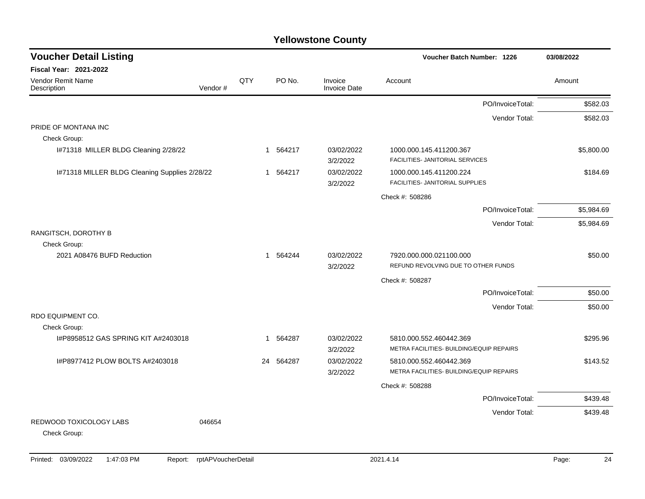| <b>Voucher Detail Listing</b>                 |         |              |          |                                | Voucher Batch Number: 1226                                          | 03/08/2022 |
|-----------------------------------------------|---------|--------------|----------|--------------------------------|---------------------------------------------------------------------|------------|
| Fiscal Year: 2021-2022                        |         |              |          |                                |                                                                     |            |
| <b>Vendor Remit Name</b><br>Description       | Vendor# | QTY          | PO No.   | Invoice<br><b>Invoice Date</b> | Account                                                             | Amount     |
|                                               |         |              |          |                                | PO/InvoiceTotal:                                                    | \$582.03   |
|                                               |         |              |          |                                | Vendor Total:                                                       | \$582.03   |
| PRIDE OF MONTANA INC                          |         |              |          |                                |                                                                     |            |
| Check Group:                                  |         |              |          |                                |                                                                     |            |
| I#71318 MILLER BLDG Cleaning 2/28/22          |         |              | 1 564217 | 03/02/2022<br>3/2/2022         | 1000.000.145.411200.367<br>FACILITIES- JANITORIAL SERVICES          | \$5,800.00 |
| I#71318 MILLER BLDG Cleaning Supplies 2/28/22 |         | $\mathbf 1$  | 564217   | 03/02/2022<br>3/2/2022         | 1000.000.145.411200.224<br>FACILITIES- JANITORIAL SUPPLIES          | \$184.69   |
|                                               |         |              |          |                                | Check #: 508286                                                     |            |
|                                               |         |              |          |                                | PO/InvoiceTotal:                                                    | \$5,984.69 |
|                                               |         |              |          |                                | Vendor Total:                                                       | \$5,984.69 |
| RANGITSCH, DOROTHY B<br>Check Group:          |         |              |          |                                |                                                                     |            |
| 2021 A08476 BUFD Reduction                    |         | $\mathbf{1}$ | 564244   | 03/02/2022<br>3/2/2022         | 7920.000.000.021100.000<br>REFUND REVOLVING DUE TO OTHER FUNDS      | \$50.00    |
|                                               |         |              |          |                                | Check #: 508287                                                     |            |
|                                               |         |              |          |                                | PO/InvoiceTotal:                                                    | \$50.00    |
|                                               |         |              |          |                                | Vendor Total:                                                       | \$50.00    |
| RDO EQUIPMENT CO.                             |         |              |          |                                |                                                                     |            |
| Check Group:                                  |         |              |          |                                |                                                                     |            |
| I#P8958512 GAS SPRING KIT A#2403018           |         | $\mathbf{1}$ | 564287   | 03/02/2022<br>3/2/2022         | 5810.000.552.460442.369<br>METRA FACILITIES- BUILDING/EQUIP REPAIRS | \$295.96   |
| I#P8977412 PLOW BOLTS A#2403018               |         | 24           | 564287   | 03/02/2022                     | 5810.000.552.460442.369                                             | \$143.52   |
|                                               |         |              |          | 3/2/2022                       | METRA FACILITIES- BUILDING/EQUIP REPAIRS                            |            |
|                                               |         |              |          |                                | Check #: 508288                                                     |            |
|                                               |         |              |          |                                | PO/InvoiceTotal:                                                    | \$439.48   |
|                                               |         |              |          |                                | Vendor Total:                                                       | \$439.48   |
| REDWOOD TOXICOLOGY LABS<br>Check Group:       | 046654  |              |          |                                |                                                                     |            |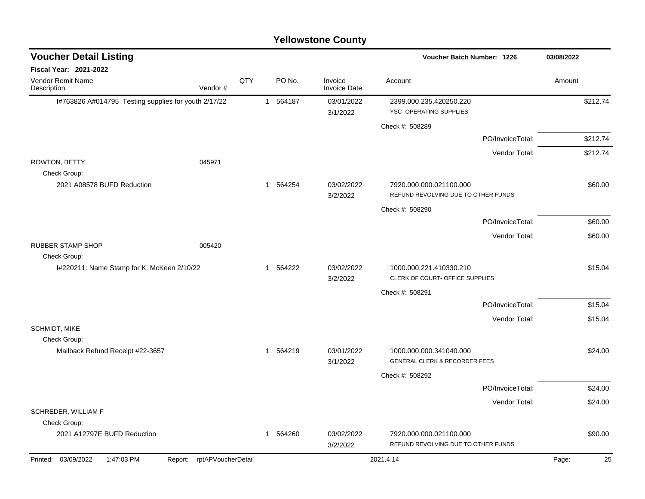| <b>Voucher Detail Listing</b>                        |                               |     |          |                                |                                                                     | Voucher Batch Number: 1226 |             |  |
|------------------------------------------------------|-------------------------------|-----|----------|--------------------------------|---------------------------------------------------------------------|----------------------------|-------------|--|
| <b>Fiscal Year: 2021-2022</b>                        |                               |     |          |                                |                                                                     |                            |             |  |
| Vendor Remit Name<br>Description                     | Vendor#                       | QTY | PO No.   | Invoice<br><b>Invoice Date</b> | Account                                                             |                            | Amount      |  |
| I#763826 A#014795 Testing supplies for youth 2/17/22 |                               |     | 1 564187 | 03/01/2022<br>3/1/2022         | 2399.000.235.420250.220<br>YSC- OPERATING SUPPLIES                  |                            | \$212.74    |  |
|                                                      |                               |     |          |                                | Check #: 508289                                                     |                            |             |  |
|                                                      |                               |     |          |                                |                                                                     | PO/InvoiceTotal:           | \$212.74    |  |
| ROWTON, BETTY<br>Check Group:                        | 045971                        |     |          |                                |                                                                     | Vendor Total:              | \$212.74    |  |
| 2021 A08578 BUFD Reduction                           |                               |     | 1 564254 | 03/02/2022<br>3/2/2022         | 7920.000.000.021100.000<br>REFUND REVOLVING DUE TO OTHER FUNDS      |                            | \$60.00     |  |
|                                                      |                               |     |          |                                | Check #: 508290                                                     |                            |             |  |
|                                                      |                               |     |          |                                |                                                                     | PO/InvoiceTotal:           | \$60.00     |  |
|                                                      |                               |     |          |                                |                                                                     | Vendor Total:              | \$60.00     |  |
| <b>RUBBER STAMP SHOP</b><br>Check Group:             | 005420                        |     |          |                                |                                                                     |                            |             |  |
| I#220211: Name Stamp for K. McKeen 2/10/22           |                               |     | 1 564222 | 03/02/2022<br>3/2/2022         | 1000.000.221.410330.210<br>CLERK OF COURT- OFFICE SUPPLIES          |                            | \$15.04     |  |
|                                                      |                               |     |          |                                | Check #: 508291                                                     |                            |             |  |
|                                                      |                               |     |          |                                |                                                                     | PO/InvoiceTotal:           | \$15.04     |  |
|                                                      |                               |     |          |                                |                                                                     | Vendor Total:              | \$15.04     |  |
| SCHMIDT, MIKE                                        |                               |     |          |                                |                                                                     |                            |             |  |
| Check Group:<br>Mailback Refund Receipt #22-3657     |                               |     | 1 564219 | 03/01/2022<br>3/1/2022         | 1000.000.000.341040.000<br><b>GENERAL CLERK &amp; RECORDER FEES</b> |                            | \$24.00     |  |
|                                                      |                               |     |          |                                | Check #: 508292                                                     |                            |             |  |
|                                                      |                               |     |          |                                |                                                                     | PO/InvoiceTotal:           | \$24.00     |  |
|                                                      |                               |     |          |                                |                                                                     | Vendor Total:              | \$24.00     |  |
| SCHREDER, WILLIAM F<br>Check Group:                  |                               |     |          |                                |                                                                     |                            |             |  |
| 2021 A12797E BUFD Reduction                          |                               |     | 1 564260 | 03/02/2022<br>3/2/2022         | 7920.000.000.021100.000<br>REFUND REVOLVING DUE TO OTHER FUNDS      |                            | \$90.00     |  |
| Printed: 03/09/2022<br>1:47:03 PM                    | rptAPVoucherDetail<br>Report: |     |          |                                | 2021.4.14                                                           |                            | Page:<br>25 |  |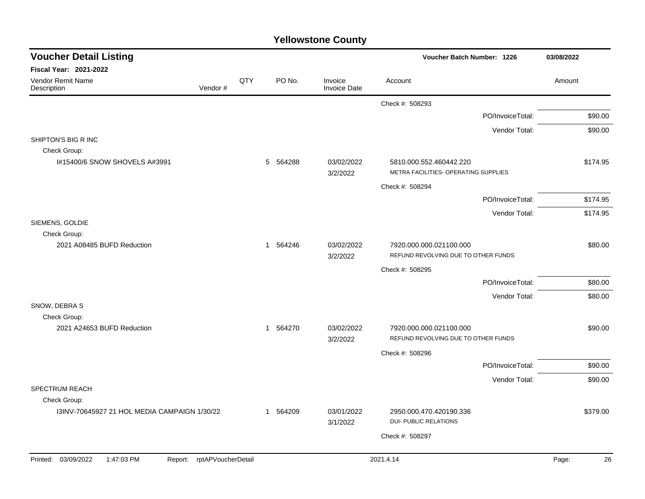| <b>Voucher Detail Listing</b>                                   |         |     |          |                                | Voucher Batch Number: 1226                                      | 03/08/2022  |
|-----------------------------------------------------------------|---------|-----|----------|--------------------------------|-----------------------------------------------------------------|-------------|
| Fiscal Year: 2021-2022                                          |         |     |          |                                |                                                                 |             |
| Vendor Remit Name<br>Description                                | Vendor# | QTY | PO No.   | Invoice<br><b>Invoice Date</b> | Account                                                         | Amount      |
|                                                                 |         |     |          |                                | Check #: 508293                                                 |             |
|                                                                 |         |     |          |                                | PO/InvoiceTotal:                                                | \$90.00     |
|                                                                 |         |     |          |                                | Vendor Total:                                                   | \$90.00     |
| SHIPTON'S BIG R INC<br>Check Group:                             |         |     |          |                                |                                                                 |             |
| I#15400/6 SNOW SHOVELS A#3991                                   |         |     | 5 564288 | 03/02/2022<br>3/2/2022         | 5810.000.552.460442.220<br>METRA FACILITIES- OPERATING SUPPLIES | \$174.95    |
|                                                                 |         |     |          |                                | Check #: 508294                                                 |             |
|                                                                 |         |     |          |                                | PO/InvoiceTotal:                                                | \$174.95    |
|                                                                 |         |     |          |                                | Vendor Total:                                                   | \$174.95    |
| SIEMENS, GOLDIE                                                 |         |     |          |                                |                                                                 |             |
| Check Group:<br>2021 A08485 BUFD Reduction                      |         |     | 1 564246 | 03/02/2022<br>3/2/2022         | 7920.000.000.021100.000<br>REFUND REVOLVING DUE TO OTHER FUNDS  | \$80.00     |
|                                                                 |         |     |          |                                | Check #: 508295                                                 |             |
|                                                                 |         |     |          |                                | PO/InvoiceTotal:                                                | \$80.00     |
|                                                                 |         |     |          |                                | Vendor Total:                                                   | \$80.00     |
| SNOW, DEBRA S                                                   |         |     |          |                                |                                                                 |             |
| Check Group:<br>2021 A24653 BUFD Reduction                      |         |     | 1 564270 | 03/02/2022                     | 7920.000.000.021100.000                                         | \$90.00     |
|                                                                 |         |     |          | 3/2/2022                       | REFUND REVOLVING DUE TO OTHER FUNDS                             |             |
|                                                                 |         |     |          |                                | Check #: 508296                                                 |             |
|                                                                 |         |     |          |                                | PO/InvoiceTotal:                                                | \$90.00     |
|                                                                 |         |     |          |                                | Vendor Total:                                                   | \$90.00     |
| SPECTRUM REACH                                                  |         |     |          |                                |                                                                 |             |
| Check Group:<br>13INV-70645927 21 HOL MEDIA CAMPAIGN 1/30/22    |         |     | 1 564209 | 03/01/2022                     | 2950.000.470.420190.336                                         | \$379.00    |
|                                                                 |         |     |          | 3/1/2022                       | <b>DUI- PUBLIC RELATIONS</b>                                    |             |
|                                                                 |         |     |          |                                | Check #: 508297                                                 |             |
|                                                                 |         |     |          |                                |                                                                 |             |
| Printed: 03/09/2022<br>1:47:03 PM<br>Report: rptAPVoucherDetail |         |     |          |                                | 2021.4.14                                                       | 26<br>Page: |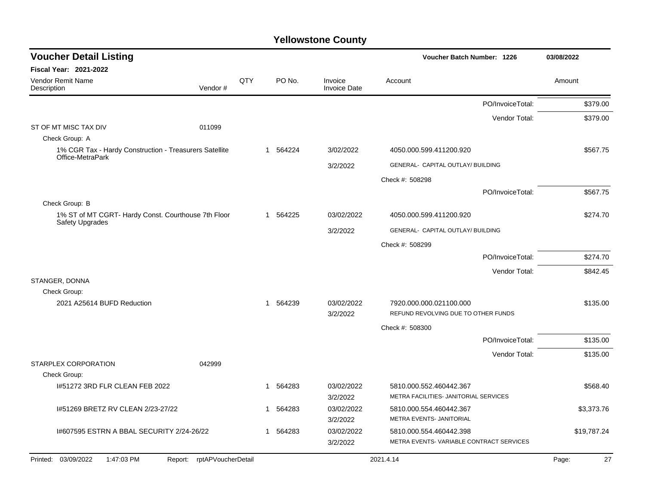| <b>Voucher Detail Listing</b>                                              |     |          |                                | 03/08/2022                                                         |             |
|----------------------------------------------------------------------------|-----|----------|--------------------------------|--------------------------------------------------------------------|-------------|
| <b>Fiscal Year: 2021-2022</b>                                              |     |          |                                |                                                                    |             |
| Vendor Remit Name<br>Vendor#<br>Description                                | QTY | PO No.   | Invoice<br><b>Invoice Date</b> | Account                                                            | Amount      |
|                                                                            |     |          |                                | PO/InvoiceTotal:                                                   | \$379.00    |
|                                                                            |     |          |                                | Vendor Total:                                                      | \$379.00    |
| ST OF MT MISC TAX DIV<br>011099<br>Check Group: A                          |     |          |                                |                                                                    |             |
| 1% CGR Tax - Hardy Construction - Treasurers Satellite<br>Office-MetraPark |     | 1 564224 | 3/02/2022                      | 4050.000.599.411200.920                                            | \$567.75    |
|                                                                            |     |          | 3/2/2022                       | GENERAL- CAPITAL OUTLAY/ BUILDING                                  |             |
|                                                                            |     |          |                                | Check #: 508298                                                    |             |
|                                                                            |     |          |                                | PO/InvoiceTotal:                                                   | \$567.75    |
| Check Group: B                                                             |     |          |                                |                                                                    |             |
| 1% ST of MT CGRT- Hardy Const. Courthouse 7th Floor<br>Safety Upgrades     |     | 1 564225 | 03/02/2022                     | 4050.000.599.411200.920                                            | \$274.70    |
|                                                                            |     |          | 3/2/2022                       | GENERAL- CAPITAL OUTLAY/ BUILDING                                  |             |
|                                                                            |     |          |                                | Check #: 508299                                                    |             |
|                                                                            |     |          |                                | PO/InvoiceTotal:                                                   | \$274.70    |
|                                                                            |     |          |                                | Vendor Total:                                                      | \$842.45    |
| STANGER, DONNA                                                             |     |          |                                |                                                                    |             |
| Check Group:<br>2021 A25614 BUFD Reduction                                 |     | 1 564239 | 03/02/2022                     | 7920.000.000.021100.000                                            | \$135.00    |
|                                                                            |     |          | 3/2/2022                       | REFUND REVOLVING DUE TO OTHER FUNDS                                |             |
|                                                                            |     |          |                                | Check #: 508300                                                    |             |
|                                                                            |     |          |                                | PO/InvoiceTotal:                                                   | \$135.00    |
|                                                                            |     |          |                                | Vendor Total:                                                      | \$135.00    |
| STARPLEX CORPORATION<br>042999<br>Check Group:                             |     |          |                                |                                                                    |             |
| 1#51272 3RD FLR CLEAN FEB 2022                                             |     | 1 564283 | 03/02/2022<br>3/2/2022         | 5810.000.552.460442.367<br>METRA FACILITIES- JANITORIAL SERVICES   | \$568.40    |
| 1#51269 BRETZ RV CLEAN 2/23-27/22                                          |     | 1 564283 | 03/02/2022<br>3/2/2022         | 5810.000.554.460442.367<br>METRA EVENTS- JANITORIAL                | \$3,373.76  |
| 1#607595 ESTRN A BBAL SECURITY 2/24-26/22                                  |     | 1 564283 | 03/02/2022<br>3/2/2022         | 5810.000.554.460442.398<br>METRA EVENTS-VARIABLE CONTRACT SERVICES | \$19,787.24 |
| Printed: 03/09/2022<br>1:47:03 PM<br>Report: rptAPVoucherDetail            |     |          |                                | 2021.4.14                                                          | Page:<br>27 |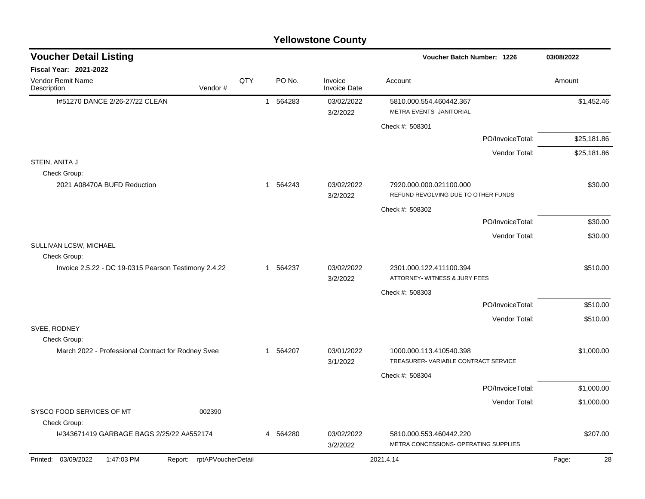|                                                                      |     |          | <b>Yellowstone County</b>      |                                                                  |                  |             |
|----------------------------------------------------------------------|-----|----------|--------------------------------|------------------------------------------------------------------|------------------|-------------|
| <b>Voucher Detail Listing</b>                                        |     |          |                                | <b>Voucher Batch Number: 1226</b>                                |                  | 03/08/2022  |
| Fiscal Year: 2021-2022                                               |     |          |                                |                                                                  |                  |             |
| Vendor Remit Name<br>Vendor#<br>Description                          | QTY | PO No.   | Invoice<br><b>Invoice Date</b> | Account                                                          |                  | Amount      |
| I#51270 DANCE 2/26-27/22 CLEAN                                       |     | 1 564283 | 03/02/2022<br>3/2/2022         | 5810.000.554.460442.367<br>METRA EVENTS- JANITORIAL              |                  | \$1,452.46  |
|                                                                      |     |          |                                | Check #: 508301                                                  |                  |             |
|                                                                      |     |          |                                |                                                                  | PO/InvoiceTotal: | \$25,181.86 |
|                                                                      |     |          |                                |                                                                  | Vendor Total:    | \$25,181.86 |
| STEIN, ANITA J<br>Check Group:                                       |     |          |                                |                                                                  |                  |             |
| 2021 A08470A BUFD Reduction                                          |     | 1 564243 | 03/02/2022<br>3/2/2022         | 7920.000.000.021100.000<br>REFUND REVOLVING DUE TO OTHER FUNDS   |                  | \$30.00     |
|                                                                      |     |          |                                | Check #: 508302                                                  |                  |             |
|                                                                      |     |          |                                |                                                                  | PO/InvoiceTotal: | \$30.00     |
|                                                                      |     |          |                                |                                                                  | Vendor Total:    | \$30.00     |
| SULLIVAN LCSW, MICHAEL                                               |     |          |                                |                                                                  |                  |             |
| Check Group:<br>Invoice 2.5.22 - DC 19-0315 Pearson Testimony 2.4.22 |     | 1 564237 | 03/02/2022<br>3/2/2022         | 2301.000.122.411100.394<br>ATTORNEY- WITNESS & JURY FEES         |                  | \$510.00    |
|                                                                      |     |          |                                | Check #: 508303                                                  |                  |             |
|                                                                      |     |          |                                |                                                                  | PO/InvoiceTotal: | \$510.00    |
|                                                                      |     |          |                                |                                                                  | Vendor Total:    | \$510.00    |
| SVEE, RODNEY                                                         |     |          |                                |                                                                  |                  |             |
| Check Group:                                                         |     |          |                                |                                                                  |                  |             |
| March 2022 - Professional Contract for Rodney Svee                   |     | 1 564207 | 03/01/2022<br>3/1/2022         | 1000.000.113.410540.398<br>TREASURER-VARIABLE CONTRACT SERVICE   |                  | \$1,000.00  |
|                                                                      |     |          |                                | Check #: 508304                                                  |                  |             |
|                                                                      |     |          |                                |                                                                  | PO/InvoiceTotal: | \$1,000.00  |
|                                                                      |     |          |                                |                                                                  | Vendor Total:    | \$1,000.00  |
| 002390<br>SYSCO FOOD SERVICES OF MT<br>Check Group:                  |     |          |                                |                                                                  |                  |             |
| I#343671419 GARBAGE BAGS 2/25/22 A#552174                            |     | 4 564280 | 03/02/2022<br>3/2/2022         | 5810.000.553.460442.220<br>METRA CONCESSIONS- OPERATING SUPPLIES |                  | \$207.00    |
| Printed: 03/09/2022<br>Report: rptAPVoucherDetail<br>1:47:03 PM      |     |          |                                | 2021.4.14                                                        |                  | Page:<br>28 |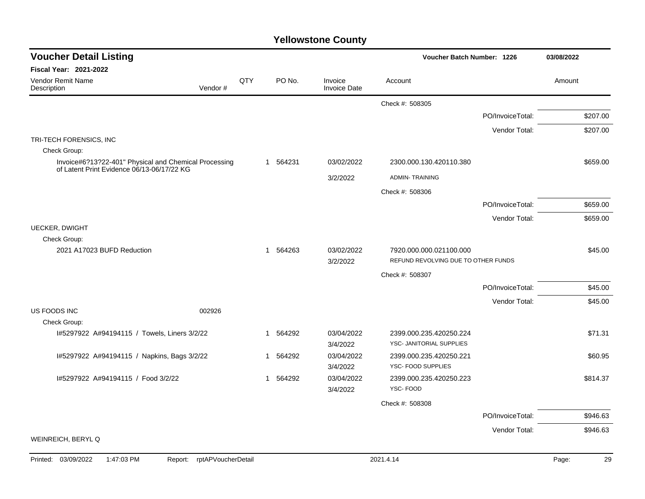| <b>Voucher Detail Listing</b>                                                                       |         |     |                        | Voucher Batch Number: 1226     | 03/08/2022                                    |                  |          |
|-----------------------------------------------------------------------------------------------------|---------|-----|------------------------|--------------------------------|-----------------------------------------------|------------------|----------|
| Fiscal Year: 2021-2022                                                                              |         |     |                        |                                |                                               |                  |          |
| <b>Vendor Remit Name</b><br>Description                                                             | Vendor# | QTY | PO No.                 | Invoice<br><b>Invoice Date</b> | Account                                       |                  | Amount   |
|                                                                                                     |         |     |                        |                                | Check #: 508305                               |                  |          |
|                                                                                                     |         |     |                        |                                |                                               | PO/InvoiceTotal: | \$207.00 |
|                                                                                                     |         |     |                        |                                |                                               | Vendor Total:    | \$207.00 |
| TRI-TECH FORENSICS, INC                                                                             |         |     |                        |                                |                                               |                  |          |
| Check Group:                                                                                        |         |     |                        |                                |                                               |                  |          |
| Invoice#6?13?22-401" Physical and Chemical Processing<br>of Latent Print Evidence 06/13-06/17/22 KG |         |     | 1 564231               | 03/02/2022                     | 2300.000.130.420110.380                       |                  | \$659.00 |
|                                                                                                     |         |     |                        | 3/2/2022                       | <b>ADMIN-TRAINING</b>                         |                  |          |
|                                                                                                     |         |     |                        |                                | Check #: 508306                               |                  |          |
|                                                                                                     |         |     |                        |                                |                                               | PO/InvoiceTotal: | \$659.00 |
|                                                                                                     |         |     |                        |                                |                                               | Vendor Total:    | \$659.00 |
| <b>UECKER, DWIGHT</b>                                                                               |         |     |                        |                                |                                               |                  |          |
| Check Group:<br>2021 A17023 BUFD Reduction                                                          |         |     | 1 564263               | 03/02/2022                     | 7920.000.000.021100.000                       |                  | \$45.00  |
|                                                                                                     |         |     |                        | 3/2/2022                       | REFUND REVOLVING DUE TO OTHER FUNDS           |                  |          |
|                                                                                                     |         |     |                        |                                | Check #: 508307                               |                  |          |
|                                                                                                     |         |     |                        |                                |                                               | PO/InvoiceTotal: | \$45.00  |
|                                                                                                     |         |     |                        |                                |                                               | Vendor Total:    | \$45.00  |
| US FOODS INC                                                                                        | 002926  |     |                        |                                |                                               |                  |          |
| Check Group:                                                                                        |         |     |                        |                                |                                               |                  |          |
| I#5297922 A#94194115 / Towels, Liners 3/2/22                                                        |         |     | 1 564292               | 03/04/2022                     | 2399.000.235.420250.224                       |                  | \$71.31  |
|                                                                                                     |         |     |                        | 3/4/2022                       | YSC- JANITORIAL SUPPLIES                      |                  |          |
| I#5297922 A#94194115 / Napkins, Bags 3/2/22                                                         |         |     | 564292<br>$\mathbf{1}$ | 03/04/2022<br>3/4/2022         | 2399.000.235.420250.221<br>YSC- FOOD SUPPLIES |                  | \$60.95  |
| I#5297922 A#94194115 / Food 3/2/22                                                                  |         |     | 564292<br>$\mathbf{1}$ | 03/04/2022                     | 2399.000.235.420250.223                       |                  | \$814.37 |
|                                                                                                     |         |     |                        | 3/4/2022                       | YSC-FOOD                                      |                  |          |
|                                                                                                     |         |     |                        |                                | Check #: 508308                               |                  |          |
|                                                                                                     |         |     |                        |                                |                                               | PO/InvoiceTotal: | \$946.63 |
|                                                                                                     |         |     |                        |                                |                                               | Vendor Total:    | \$946.63 |
| WEINREICH, BERYL Q                                                                                  |         |     |                        |                                |                                               |                  |          |
|                                                                                                     |         |     |                        |                                |                                               |                  |          |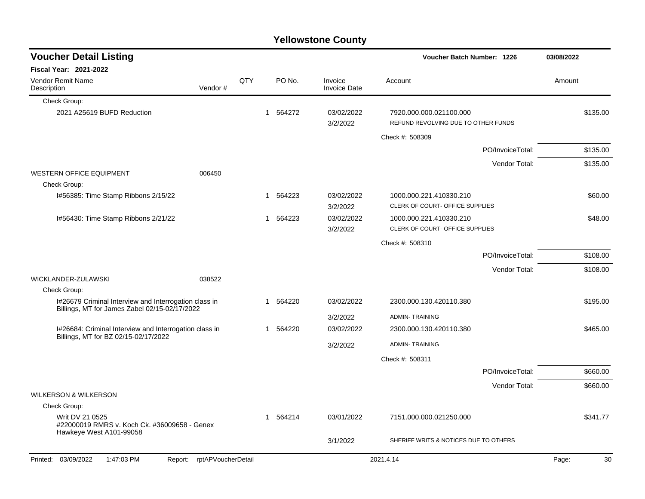|                                                                                                        |                            |     |        |            | <b>Yellowstone County</b>      |                                                                |                  |            |          |
|--------------------------------------------------------------------------------------------------------|----------------------------|-----|--------|------------|--------------------------------|----------------------------------------------------------------|------------------|------------|----------|
| <b>Voucher Detail Listing</b>                                                                          |                            |     |        |            |                                | <b>Voucher Batch Number: 1226</b>                              |                  | 03/08/2022 |          |
| Fiscal Year: 2021-2022                                                                                 |                            |     |        |            |                                |                                                                |                  |            |          |
| Vendor Remit Name<br>Description                                                                       | Vendor#                    | QTY |        | PO No.     | Invoice<br><b>Invoice Date</b> | Account                                                        |                  | Amount     |          |
| Check Group:                                                                                           |                            |     |        |            |                                |                                                                |                  |            |          |
| 2021 A25619 BUFD Reduction                                                                             |                            |     | 1      | 564272     | 03/02/2022<br>3/2/2022         | 7920.000.000.021100.000<br>REFUND REVOLVING DUE TO OTHER FUNDS |                  |            | \$135.00 |
|                                                                                                        |                            |     |        |            |                                | Check #: 508309                                                |                  |            |          |
|                                                                                                        |                            |     |        |            |                                |                                                                | PO/InvoiceTotal: |            | \$135.00 |
|                                                                                                        |                            |     |        |            |                                |                                                                | Vendor Total:    |            | \$135.00 |
| <b>WESTERN OFFICE EQUIPMENT</b><br>Check Group:                                                        | 006450                     |     |        |            |                                |                                                                |                  |            |          |
| I#56385: Time Stamp Ribbons 2/15/22                                                                    |                            |     | 1      | 564223     | 03/02/2022<br>3/2/2022         | 1000.000.221.410330.210<br>CLERK OF COURT- OFFICE SUPPLIES     |                  |            | \$60.00  |
| I#56430: Time Stamp Ribbons 2/21/22                                                                    |                            |     | 1      | 564223     | 03/02/2022<br>3/2/2022         | 1000.000.221.410330.210<br>CLERK OF COURT- OFFICE SUPPLIES     |                  |            | \$48.00  |
|                                                                                                        |                            |     |        |            |                                | Check #: 508310                                                |                  |            |          |
|                                                                                                        |                            |     |        |            |                                |                                                                | PO/InvoiceTotal: |            | \$108.00 |
|                                                                                                        |                            |     |        |            |                                |                                                                | Vendor Total:    |            | \$108.00 |
| WICKLANDER-ZULAWSKI                                                                                    | 038522                     |     |        |            |                                |                                                                |                  |            |          |
| Check Group:                                                                                           |                            |     |        |            |                                |                                                                |                  |            |          |
| I#26679 Criminal Interview and Interrogation class in<br>Billings, MT for James Zabel 02/15-02/17/2022 |                            | 1   | 564220 | 03/02/2022 | 2300.000.130.420110.380        |                                                                |                  | \$195.00   |          |
|                                                                                                        |                            |     |        |            | 3/2/2022                       | <b>ADMIN-TRAINING</b>                                          |                  |            |          |
| I#26684: Criminal Interview and Interrogation class in<br>Billings, MT for BZ 02/15-02/17/2022         |                            |     | 1      | 564220     | 03/02/2022                     | 2300.000.130.420110.380                                        |                  |            | \$465.00 |
|                                                                                                        |                            |     |        |            | 3/2/2022                       | <b>ADMIN-TRAINING</b>                                          |                  |            |          |
|                                                                                                        |                            |     |        |            |                                | Check #: 508311                                                |                  |            |          |
|                                                                                                        |                            |     |        |            |                                |                                                                | PO/InvoiceTotal: |            | \$660.00 |
|                                                                                                        |                            |     |        |            |                                |                                                                | Vendor Total:    |            | \$660.00 |
| <b>WILKERSON &amp; WILKERSON</b>                                                                       |                            |     |        |            |                                |                                                                |                  |            |          |
| Check Group:                                                                                           |                            |     |        |            |                                |                                                                |                  |            |          |
| Writ DV 21 0525<br>#22000019 RMRS v. Koch Ck. #36009658 - Genex<br>Hawkeye West A101-99058             |                            |     | 1      | 564214     | 03/01/2022                     | 7151.000.000.021250.000                                        |                  |            | \$341.77 |
|                                                                                                        |                            |     |        |            | 3/1/2022                       | SHERIFF WRITS & NOTICES DUE TO OTHERS                          |                  |            |          |
| 03/09/2022<br>1:47:03 PM<br>Printed:                                                                   | Report: rptAPVoucherDetail |     |        |            |                                | 2021.4.14                                                      |                  | Page:      | 30       |